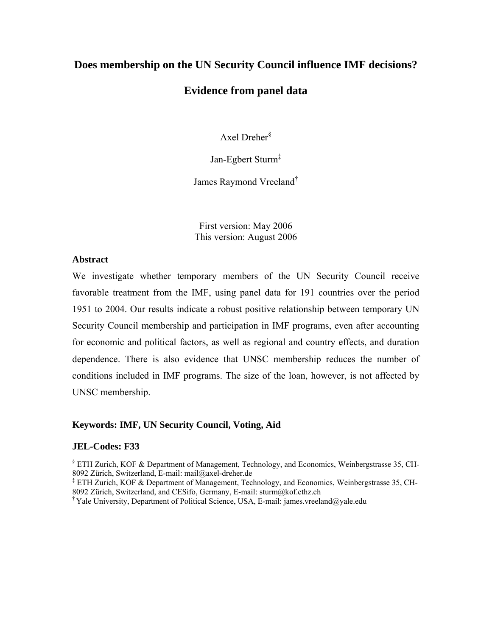## **Does membership on the UN Security Council influence IMF decisions?**

### **Evidence from panel data**

Axel Dreher $\delta$ 

Jan-Egbert Sturm<sup>‡</sup>

James Raymond Vreeland†

First version: May 2006 This version: August 2006

### **Abstract**

We investigate whether temporary members of the UN Security Council receive favorable treatment from the IMF, using panel data for 191 countries over the period 1951 to 2004. Our results indicate a robust positive relationship between temporary UN Security Council membership and participation in IMF programs, even after accounting for economic and political factors, as well as regional and country effects, and duration dependence. There is also evidence that UNSC membership reduces the number of conditions included in IMF programs. The size of the loan, however, is not affected by UNSC membership.

### **Keywords: IMF, UN Security Council, Voting, Aid**

### **JEL-Codes: F33**

§ ETH Zurich, KOF & Department of Management, Technology, and Economics, Weinbergstrasse 35, CH-8092 Zürich, Switzerland, E-mail: mail@axel-dreher.de

‡ ETH Zurich, KOF & Department of Management, Technology, and Economics, Weinbergstrasse 35, CH-8092 Zürich, Switzerland, and CESifo, Germany, E-mail: sturm@kof.ethz.ch

<sup>†</sup> Yale University, Department of Political Science, USA, E-mail: james.vreeland@yale.edu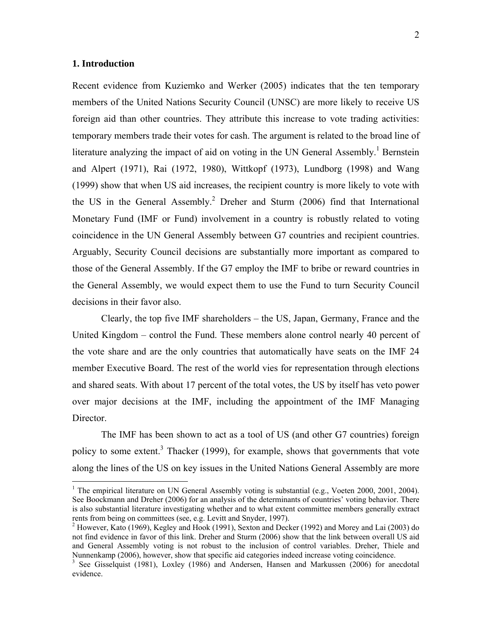### **1. Introduction**

1

Recent evidence from Kuziemko and Werker (2005) indicates that the ten temporary members of the United Nations Security Council (UNSC) are more likely to receive US foreign aid than other countries. They attribute this increase to vote trading activities: temporary members trade their votes for cash. The argument is related to the broad line of literature analyzing the impact of aid on voting in the UN General Assembly.<sup>1</sup> Bernstein and Alpert (1971), Rai (1972, 1980), Wittkopf (1973), Lundborg (1998) and Wang (1999) show that when US aid increases, the recipient country is more likely to vote with the US in the General Assembly.<sup>2</sup> Dreher and Sturm (2006) find that International Monetary Fund (IMF or Fund) involvement in a country is robustly related to voting coincidence in the UN General Assembly between G7 countries and recipient countries. Arguably, Security Council decisions are substantially more important as compared to those of the General Assembly. If the G7 employ the IMF to bribe or reward countries in the General Assembly, we would expect them to use the Fund to turn Security Council decisions in their favor also.

Clearly, the top five IMF shareholders – the US, Japan, Germany, France and the United Kingdom – control the Fund. These members alone control nearly 40 percent of the vote share and are the only countries that automatically have seats on the IMF 24 member Executive Board. The rest of the world vies for representation through elections and shared seats. With about 17 percent of the total votes, the US by itself has veto power over major decisions at the IMF, including the appointment of the IMF Managing Director.

The IMF has been shown to act as a tool of US (and other G7 countries) foreign policy to some extent.<sup>3</sup> Thacker (1999), for example, shows that governments that vote along the lines of the US on key issues in the United Nations General Assembly are more

<sup>&</sup>lt;sup>1</sup> The empirical literature on UN General Assembly voting is substantial (e.g., Voeten 2000, 2001, 2004). See Boockmann and Dreher (2006) for an analysis of the determinants of countries' voting behavior. There is also substantial literature investigating whether and to what extent committee members generally extract rents from being on committees (see, e.g. Levitt and Snyder, 1997).

 $2$  However, Kato (1969), Kegley and Hook (1991), Sexton and Decker (1992) and Morey and Lai (2003) do not find evidence in favor of this link. Dreher and Sturm (2006) show that the link between overall US aid and General Assembly voting is not robust to the inclusion of control variables. Dreher, Thiele and Nunnenkamp (2006), however, show that specific aid categories indeed increase voting coincidence.

<sup>&</sup>lt;sup>3</sup> See Gisselquist (1981), Loxley (1986) and Andersen, Hansen and Markussen (2006) for anecdotal evidence.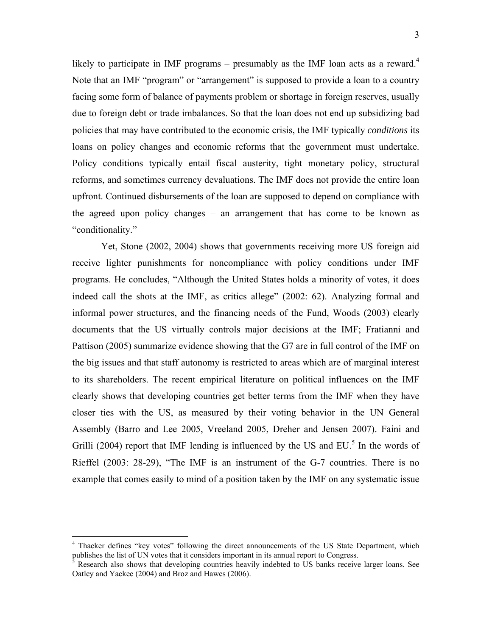likely to participate in IMF programs – presumably as the IMF loan acts as a reward.<sup>4</sup> Note that an IMF "program" or "arrangement" is supposed to provide a loan to a country facing some form of balance of payments problem or shortage in foreign reserves, usually due to foreign debt or trade imbalances. So that the loan does not end up subsidizing bad policies that may have contributed to the economic crisis, the IMF typically *conditions* its loans on policy changes and economic reforms that the government must undertake. Policy conditions typically entail fiscal austerity, tight monetary policy, structural reforms, and sometimes currency devaluations. The IMF does not provide the entire loan upfront. Continued disbursements of the loan are supposed to depend on compliance with the agreed upon policy changes – an arrangement that has come to be known as "conditionality."

Yet, Stone (2002, 2004) shows that governments receiving more US foreign aid receive lighter punishments for noncompliance with policy conditions under IMF programs. He concludes, "Although the United States holds a minority of votes, it does indeed call the shots at the IMF, as critics allege" (2002: 62). Analyzing formal and informal power structures, and the financing needs of the Fund, Woods (2003) clearly documents that the US virtually controls major decisions at the IMF; Fratianni and Pattison (2005) summarize evidence showing that the G7 are in full control of the IMF on the big issues and that staff autonomy is restricted to areas which are of marginal interest to its shareholders. The recent empirical literature on political influences on the IMF clearly shows that developing countries get better terms from the IMF when they have closer ties with the US, as measured by their voting behavior in the UN General Assembly (Barro and Lee 2005, Vreeland 2005, Dreher and Jensen 2007). Faini and Grilli (2004) report that IMF lending is influenced by the US and  $EU$ <sup>5</sup>. In the words of Rieffel (2003: 28-29), "The IMF is an instrument of the G-7 countries. There is no example that comes easily to mind of a position taken by the IMF on any systematic issue

<sup>&</sup>lt;sup>4</sup> Thacker defines "key votes" following the direct announcements of the US State Department, which publishes the list of UN votes that it considers important in its annual report to Congress.<br><sup>5</sup> Because also shows that davaloning countries hospily indebted to US banks receive

Research also shows that developing countries heavily indebted to US banks receive larger loans. See Oatley and Yackee (2004) and Broz and Hawes (2006).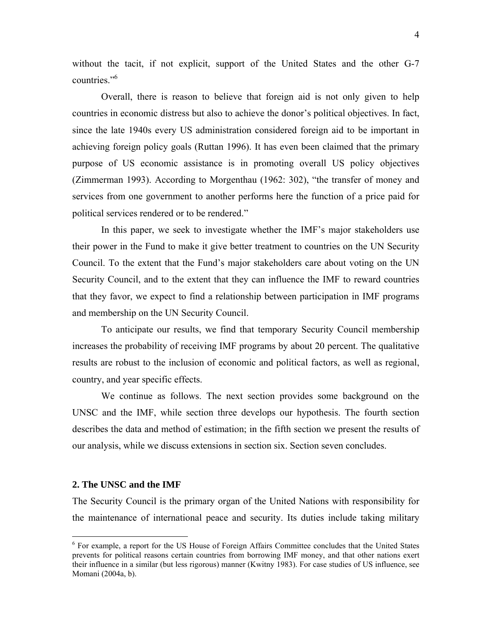without the tacit, if not explicit, support of the United States and the other G-7 countries."6

Overall, there is reason to believe that foreign aid is not only given to help countries in economic distress but also to achieve the donor's political objectives. In fact, since the late 1940s every US administration considered foreign aid to be important in achieving foreign policy goals (Ruttan 1996). It has even been claimed that the primary purpose of US economic assistance is in promoting overall US policy objectives (Zimmerman 1993). According to Morgenthau (1962: 302), "the transfer of money and services from one government to another performs here the function of a price paid for political services rendered or to be rendered."

In this paper, we seek to investigate whether the IMF's major stakeholders use their power in the Fund to make it give better treatment to countries on the UN Security Council. To the extent that the Fund's major stakeholders care about voting on the UN Security Council, and to the extent that they can influence the IMF to reward countries that they favor, we expect to find a relationship between participation in IMF programs and membership on the UN Security Council.

To anticipate our results, we find that temporary Security Council membership increases the probability of receiving IMF programs by about 20 percent. The qualitative results are robust to the inclusion of economic and political factors, as well as regional, country, and year specific effects.

We continue as follows. The next section provides some background on the UNSC and the IMF, while section three develops our hypothesis. The fourth section describes the data and method of estimation; in the fifth section we present the results of our analysis, while we discuss extensions in section six. Section seven concludes.

### **2. The UNSC and the IMF**

The Security Council is the primary organ of the United Nations with responsibility for the maintenance of international peace and security. Its duties include taking military

 6 For example, a report for the US House of Foreign Affairs Committee concludes that the United States prevents for political reasons certain countries from borrowing IMF money, and that other nations exert their influence in a similar (but less rigorous) manner (Kwitny 1983). For case studies of US influence, see Momani (2004a, b).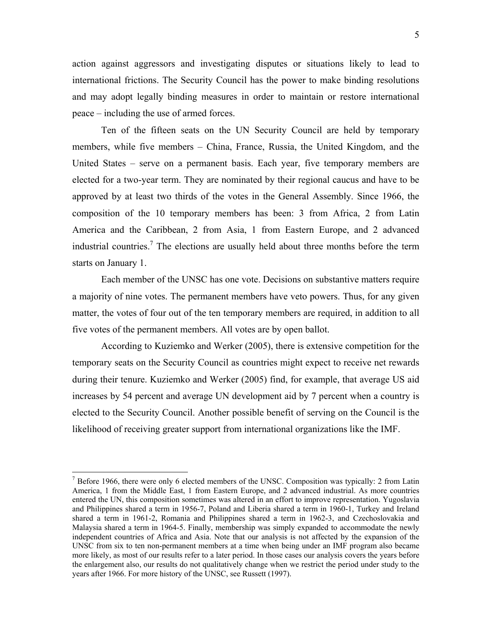5

action against aggressors and investigating disputes or situations likely to lead to international frictions. The Security Council has the power to make binding resolutions and may adopt legally binding measures in order to maintain or restore international peace – including the use of armed forces.

 Ten of the fifteen seats on the UN Security Council are held by temporary members, while five members – China, France, Russia, the United Kingdom, and the United States – serve on a permanent basis. Each year, five temporary members are elected for a two-year term. They are nominated by their regional caucus and have to be approved by at least two thirds of the votes in the General Assembly. Since 1966, the composition of the 10 temporary members has been: 3 from Africa, 2 from Latin America and the Caribbean, 2 from Asia, 1 from Eastern Europe, and 2 advanced industrial countries.<sup>7</sup> The elections are usually held about three months before the term starts on January 1.

 Each member of the UNSC has one vote. Decisions on substantive matters require a majority of nine votes. The permanent members have veto powers. Thus, for any given matter, the votes of four out of the ten temporary members are required, in addition to all five votes of the permanent members. All votes are by open ballot.

According to Kuziemko and Werker (2005), there is extensive competition for the temporary seats on the Security Council as countries might expect to receive net rewards during their tenure. Kuziemko and Werker (2005) find, for example, that average US aid increases by 54 percent and average UN development aid by 7 percent when a country is elected to the Security Council. Another possible benefit of serving on the Council is the likelihood of receiving greater support from international organizations like the IMF.

 $<sup>7</sup>$  Before 1966, there were only 6 elected members of the UNSC. Composition was typically: 2 from Latin</sup> America, 1 from the Middle East, 1 from Eastern Europe, and 2 advanced industrial. As more countries entered the UN, this composition sometimes was altered in an effort to improve representation. Yugoslavia and Philippines shared a term in 1956-7, Poland and Liberia shared a term in 1960-1, Turkey and Ireland shared a term in 1961-2, Romania and Philippines shared a term in 1962-3, and Czechoslovakia and Malaysia shared a term in 1964-5. Finally, membership was simply expanded to accommodate the newly independent countries of Africa and Asia. Note that our analysis is not affected by the expansion of the UNSC from six to ten non-permanent members at a time when being under an IMF program also became more likely, as most of our results refer to a later period. In those cases our analysis covers the years before the enlargement also, our results do not qualitatively change when we restrict the period under study to the years after 1966. For more history of the UNSC, see Russett (1997).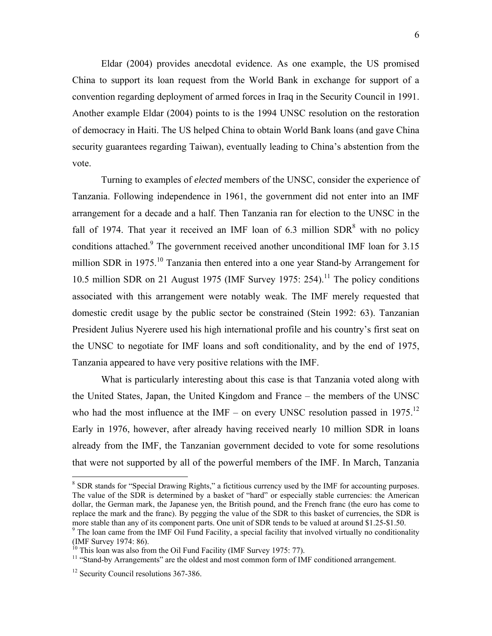Eldar (2004) provides anecdotal evidence. As one example, the US promised China to support its loan request from the World Bank in exchange for support of a convention regarding deployment of armed forces in Iraq in the Security Council in 1991. Another example Eldar (2004) points to is the 1994 UNSC resolution on the restoration of democracy in Haiti. The US helped China to obtain World Bank loans (and gave China security guarantees regarding Taiwan), eventually leading to China's abstention from the vote.

Turning to examples of *elected* members of the UNSC, consider the experience of Tanzania. Following independence in 1961, the government did not enter into an IMF arrangement for a decade and a half. Then Tanzania ran for election to the UNSC in the fall of 1974. That year it received an IMF loan of 6.3 million  $SDR<sup>8</sup>$  with no policy conditions attached.<sup>9</sup> The government received another unconditional IMF loan for 3.15 million SDR in 1975.<sup>10</sup> Tanzania then entered into a one year Stand-by Arrangement for 10.5 million SDR on 21 August 1975 (IMF Survey 1975: 254).<sup>11</sup> The policy conditions associated with this arrangement were notably weak. The IMF merely requested that domestic credit usage by the public sector be constrained (Stein 1992: 63). Tanzanian President Julius Nyerere used his high international profile and his country's first seat on the UNSC to negotiate for IMF loans and soft conditionality, and by the end of 1975, Tanzania appeared to have very positive relations with the IMF.

What is particularly interesting about this case is that Tanzania voted along with the United States, Japan, the United Kingdom and France – the members of the UNSC who had the most influence at the IMF – on every UNSC resolution passed in 1975.<sup>12</sup> Early in 1976, however, after already having received nearly 10 million SDR in loans already from the IMF, the Tanzanian government decided to vote for some resolutions that were not supported by all of the powerful members of the IMF. In March, Tanzania

1

<sup>&</sup>lt;sup>8</sup> SDR stands for "Special Drawing Rights," a fictitious currency used by the IMF for accounting purposes. The value of the SDR is determined by a basket of "hard" or especially stable currencies: the American dollar, the German mark, the Japanese yen, the British pound, and the French franc (the euro has come to replace the mark and the franc). By pegging the value of the SDR to this basket of currencies, the SDR is more stable than any of its component parts. One unit of SDR tends to be valued at around \$1.25-\$1.50.

<sup>&</sup>lt;sup>9</sup> The loan came from the IMF Oil Fund Facility, a special facility that involved virtually no conditionality (IMF Survey 1974: 86).

 $10$  This loan was also from the Oil Fund Facility (IMF Survey 1975: 77).

<sup>&</sup>lt;sup>11</sup> "Stand-by Arrangements" are the oldest and most common form of IMF conditioned arrangement.

<sup>&</sup>lt;sup>12</sup> Security Council resolutions 367-386.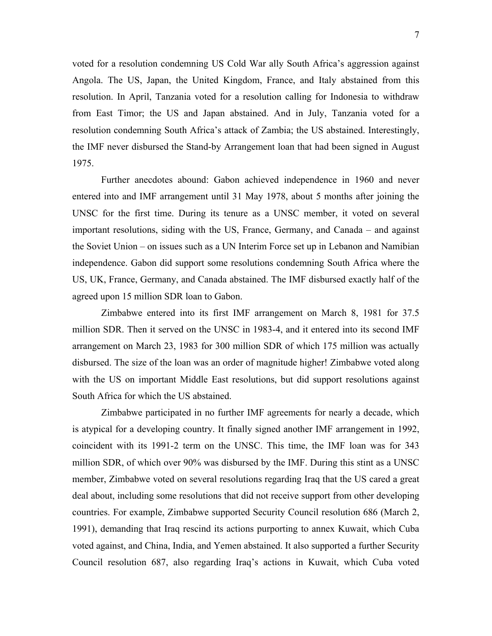voted for a resolution condemning US Cold War ally South Africa's aggression against Angola. The US, Japan, the United Kingdom, France, and Italy abstained from this resolution. In April, Tanzania voted for a resolution calling for Indonesia to withdraw from East Timor; the US and Japan abstained. And in July, Tanzania voted for a resolution condemning South Africa's attack of Zambia; the US abstained. Interestingly, the IMF never disbursed the Stand-by Arrangement loan that had been signed in August 1975.

Further anecdotes abound: Gabon achieved independence in 1960 and never entered into and IMF arrangement until 31 May 1978, about 5 months after joining the UNSC for the first time. During its tenure as a UNSC member, it voted on several important resolutions, siding with the US, France, Germany, and Canada – and against the Soviet Union – on issues such as a UN Interim Force set up in Lebanon and Namibian independence. Gabon did support some resolutions condemning South Africa where the US, UK, France, Germany, and Canada abstained. The IMF disbursed exactly half of the agreed upon 15 million SDR loan to Gabon.

Zimbabwe entered into its first IMF arrangement on March 8, 1981 for 37.5 million SDR. Then it served on the UNSC in 1983-4, and it entered into its second IMF arrangement on March 23, 1983 for 300 million SDR of which 175 million was actually disbursed. The size of the loan was an order of magnitude higher! Zimbabwe voted along with the US on important Middle East resolutions, but did support resolutions against South Africa for which the US abstained.

Zimbabwe participated in no further IMF agreements for nearly a decade, which is atypical for a developing country. It finally signed another IMF arrangement in 1992, coincident with its 1991-2 term on the UNSC. This time, the IMF loan was for 343 million SDR, of which over 90% was disbursed by the IMF. During this stint as a UNSC member, Zimbabwe voted on several resolutions regarding Iraq that the US cared a great deal about, including some resolutions that did not receive support from other developing countries. For example, Zimbabwe supported Security Council resolution 686 (March 2, 1991), demanding that Iraq rescind its actions purporting to annex Kuwait, which Cuba voted against, and China, India, and Yemen abstained. It also supported a further Security Council resolution 687, also regarding Iraq's actions in Kuwait, which Cuba voted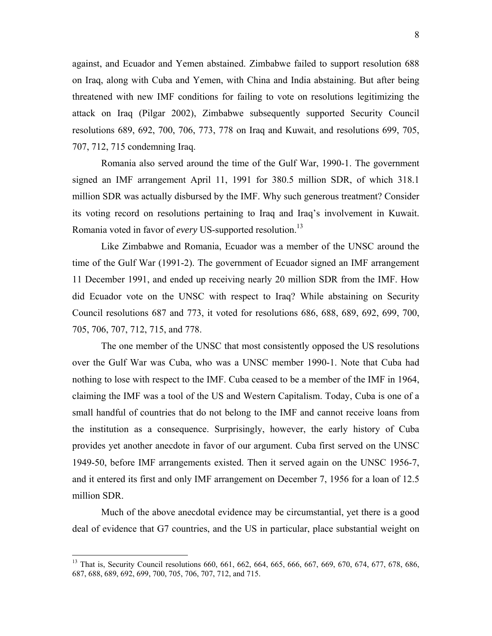against, and Ecuador and Yemen abstained. Zimbabwe failed to support resolution 688 on Iraq, along with Cuba and Yemen, with China and India abstaining. But after being threatened with new IMF conditions for failing to vote on resolutions legitimizing the attack on Iraq (Pilgar 2002), Zimbabwe subsequently supported Security Council resolutions 689, 692, 700, 706, 773, 778 on Iraq and Kuwait, and resolutions 699, 705, 707, 712, 715 condemning Iraq.

Romania also served around the time of the Gulf War, 1990-1. The government signed an IMF arrangement April 11, 1991 for 380.5 million SDR, of which 318.1 million SDR was actually disbursed by the IMF. Why such generous treatment? Consider its voting record on resolutions pertaining to Iraq and Iraq's involvement in Kuwait. Romania voted in favor of *every* US-supported resolution.13

Like Zimbabwe and Romania, Ecuador was a member of the UNSC around the time of the Gulf War (1991-2). The government of Ecuador signed an IMF arrangement 11 December 1991, and ended up receiving nearly 20 million SDR from the IMF. How did Ecuador vote on the UNSC with respect to Iraq? While abstaining on Security Council resolutions 687 and 773, it voted for resolutions 686, 688, 689, 692, 699, 700, 705, 706, 707, 712, 715, and 778.

The one member of the UNSC that most consistently opposed the US resolutions over the Gulf War was Cuba, who was a UNSC member 1990-1. Note that Cuba had nothing to lose with respect to the IMF. Cuba ceased to be a member of the IMF in 1964, claiming the IMF was a tool of the US and Western Capitalism. Today, Cuba is one of a small handful of countries that do not belong to the IMF and cannot receive loans from the institution as a consequence. Surprisingly, however, the early history of Cuba provides yet another anecdote in favor of our argument. Cuba first served on the UNSC 1949-50, before IMF arrangements existed. Then it served again on the UNSC 1956-7, and it entered its first and only IMF arrangement on December 7, 1956 for a loan of 12.5 million SDR.

Much of the above anecdotal evidence may be circumstantial, yet there is a good deal of evidence that G7 countries, and the US in particular, place substantial weight on

<sup>&</sup>lt;sup>13</sup> That is, Security Council resolutions 660, 661, 662, 664, 665, 666, 667, 669, 670, 674, 677, 678, 686, 687, 688, 689, 692, 699, 700, 705, 706, 707, 712, and 715.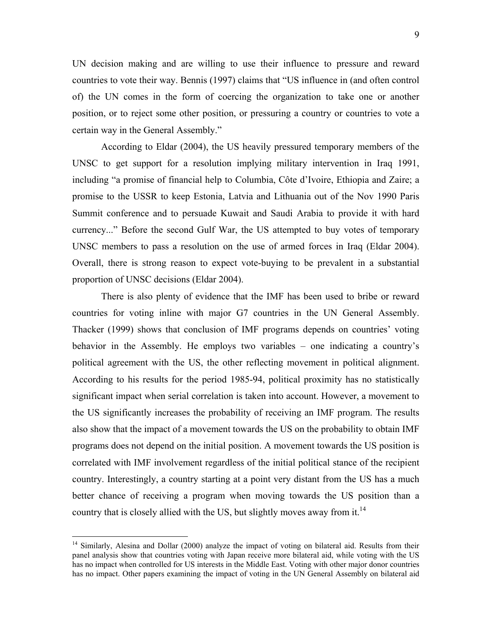UN decision making and are willing to use their influence to pressure and reward countries to vote their way. Bennis (1997) claims that "US influence in (and often control of) the UN comes in the form of coercing the organization to take one or another position, or to reject some other position, or pressuring a country or countries to vote a certain way in the General Assembly."

According to Eldar (2004), the US heavily pressured temporary members of the UNSC to get support for a resolution implying military intervention in Iraq 1991, including "a promise of financial help to Columbia, Côte d'Ivoire, Ethiopia and Zaire; a promise to the USSR to keep Estonia, Latvia and Lithuania out of the Nov 1990 Paris Summit conference and to persuade Kuwait and Saudi Arabia to provide it with hard currency..." Before the second Gulf War, the US attempted to buy votes of temporary UNSC members to pass a resolution on the use of armed forces in Iraq (Eldar 2004). Overall, there is strong reason to expect vote-buying to be prevalent in a substantial proportion of UNSC decisions (Eldar 2004).

There is also plenty of evidence that the IMF has been used to bribe or reward countries for voting inline with major G7 countries in the UN General Assembly. Thacker (1999) shows that conclusion of IMF programs depends on countries' voting behavior in the Assembly. He employs two variables – one indicating a country's political agreement with the US, the other reflecting movement in political alignment. According to his results for the period 1985-94, political proximity has no statistically significant impact when serial correlation is taken into account. However, a movement to the US significantly increases the probability of receiving an IMF program. The results also show that the impact of a movement towards the US on the probability to obtain IMF programs does not depend on the initial position. A movement towards the US position is correlated with IMF involvement regardless of the initial political stance of the recipient country. Interestingly, a country starting at a point very distant from the US has a much better chance of receiving a program when moving towards the US position than a country that is closely allied with the US, but slightly moves away from it.<sup>14</sup>

 $14$  Similarly, Alesina and Dollar (2000) analyze the impact of voting on bilateral aid. Results from their panel analysis show that countries voting with Japan receive more bilateral aid, while voting with the US has no impact when controlled for US interests in the Middle East. Voting with other major donor countries has no impact. Other papers examining the impact of voting in the UN General Assembly on bilateral aid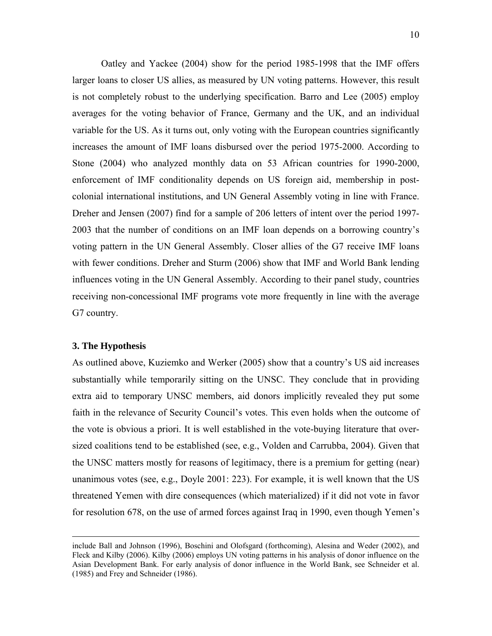Oatley and Yackee (2004) show for the period 1985-1998 that the IMF offers larger loans to closer US allies, as measured by UN voting patterns. However, this result is not completely robust to the underlying specification. Barro and Lee (2005) employ averages for the voting behavior of France, Germany and the UK, and an individual variable for the US. As it turns out, only voting with the European countries significantly increases the amount of IMF loans disbursed over the period 1975-2000. According to Stone (2004) who analyzed monthly data on 53 African countries for 1990-2000, enforcement of IMF conditionality depends on US foreign aid, membership in postcolonial international institutions, and UN General Assembly voting in line with France. Dreher and Jensen (2007) find for a sample of 206 letters of intent over the period 1997- 2003 that the number of conditions on an IMF loan depends on a borrowing country's voting pattern in the UN General Assembly. Closer allies of the G7 receive IMF loans with fewer conditions. Dreher and Sturm (2006) show that IMF and World Bank lending influences voting in the UN General Assembly. According to their panel study, countries receiving non-concessional IMF programs vote more frequently in line with the average G7 country.

### **3. The Hypothesis**

As outlined above, Kuziemko and Werker (2005) show that a country's US aid increases substantially while temporarily sitting on the UNSC. They conclude that in providing extra aid to temporary UNSC members, aid donors implicitly revealed they put some faith in the relevance of Security Council's votes. This even holds when the outcome of the vote is obvious a priori. It is well established in the vote-buying literature that oversized coalitions tend to be established (see, e.g., Volden and Carrubba, 2004). Given that the UNSC matters mostly for reasons of legitimacy, there is a premium for getting (near) unanimous votes (see, e.g., Doyle 2001: 223). For example, it is well known that the US threatened Yemen with dire consequences (which materialized) if it did not vote in favor for resolution 678, on the use of armed forces against Iraq in 1990, even though Yemen's

include Ball and Johnson (1996), Boschini and Olofsgard (forthcoming), Alesina and Weder (2002), and Fleck and Kilby (2006). Kilby (2006) employs UN voting patterns in his analysis of donor influence on the Asian Development Bank. For early analysis of donor influence in the World Bank, see Schneider et al. (1985) and Frey and Schneider (1986).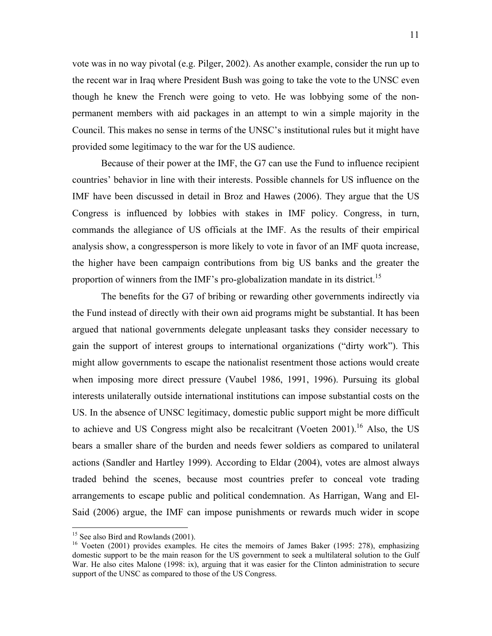vote was in no way pivotal (e.g. Pilger, 2002). As another example, consider the run up to the recent war in Iraq where President Bush was going to take the vote to the UNSC even though he knew the French were going to veto. He was lobbying some of the nonpermanent members with aid packages in an attempt to win a simple majority in the Council. This makes no sense in terms of the UNSC's institutional rules but it might have provided some legitimacy to the war for the US audience.

Because of their power at the IMF, the G7 can use the Fund to influence recipient countries' behavior in line with their interests. Possible channels for US influence on the IMF have been discussed in detail in Broz and Hawes (2006). They argue that the US Congress is influenced by lobbies with stakes in IMF policy. Congress, in turn, commands the allegiance of US officials at the IMF. As the results of their empirical analysis show, a congressperson is more likely to vote in favor of an IMF quota increase, the higher have been campaign contributions from big US banks and the greater the proportion of winners from the IMF's pro-globalization mandate in its district.<sup>15</sup>

The benefits for the G7 of bribing or rewarding other governments indirectly via the Fund instead of directly with their own aid programs might be substantial. It has been argued that national governments delegate unpleasant tasks they consider necessary to gain the support of interest groups to international organizations ("dirty work"). This might allow governments to escape the nationalist resentment those actions would create when imposing more direct pressure (Vaubel 1986, 1991, 1996). Pursuing its global interests unilaterally outside international institutions can impose substantial costs on the US. In the absence of UNSC legitimacy, domestic public support might be more difficult to achieve and US Congress might also be recalcitrant (Voeten 2001).<sup>16</sup> Also, the US bears a smaller share of the burden and needs fewer soldiers as compared to unilateral actions (Sandler and Hartley 1999). According to Eldar (2004), votes are almost always traded behind the scenes, because most countries prefer to conceal vote trading arrangements to escape public and political condemnation. As Harrigan, Wang and El-Said (2006) argue, the IMF can impose punishments or rewards much wider in scope

<sup>&</sup>lt;sup>15</sup> See also Bird and Rowlands (2001).

<sup>&</sup>lt;sup>16</sup> Voeten (2001) provides examples. He cites the memoirs of James Baker (1995: 278), emphasizing domestic support to be the main reason for the US government to seek a multilateral solution to the Gulf War. He also cites Malone (1998: ix), arguing that it was easier for the Clinton administration to secure support of the UNSC as compared to those of the US Congress.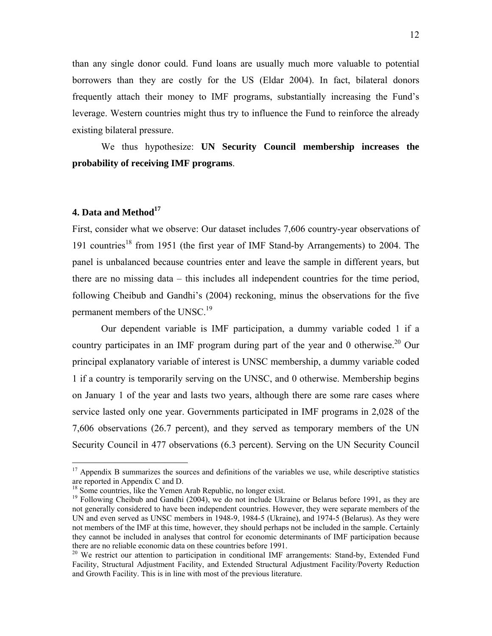than any single donor could. Fund loans are usually much more valuable to potential borrowers than they are costly for the US (Eldar 2004). In fact, bilateral donors frequently attach their money to IMF programs, substantially increasing the Fund's leverage. Western countries might thus try to influence the Fund to reinforce the already existing bilateral pressure.

We thus hypothesize: **UN Security Council membership increases the probability of receiving IMF programs**.

### **4. Data and Method**<sup>17</sup>

1

First, consider what we observe: Our dataset includes 7,606 country-year observations of 191 countries<sup>18</sup> from 1951 (the first year of IMF Stand-by Arrangements) to 2004. The panel is unbalanced because countries enter and leave the sample in different years, but there are no missing data – this includes all independent countries for the time period, following Cheibub and Gandhi's (2004) reckoning, minus the observations for the five permanent members of the UNSC.<sup>19</sup>

 Our dependent variable is IMF participation, a dummy variable coded 1 if a country participates in an IMF program during part of the year and 0 otherwise.<sup>20</sup> Our principal explanatory variable of interest is UNSC membership, a dummy variable coded 1 if a country is temporarily serving on the UNSC, and 0 otherwise. Membership begins on January 1 of the year and lasts two years, although there are some rare cases where service lasted only one year. Governments participated in IMF programs in 2,028 of the 7,606 observations (26.7 percent), and they served as temporary members of the UN Security Council in 477 observations (6.3 percent). Serving on the UN Security Council

 $17$  Appendix B summarizes the sources and definitions of the variables we use, while descriptive statistics are reported in Appendix C and D.

<sup>&</sup>lt;sup>18</sup> Some countries, like the Yemen Arab Republic, no longer exist.

<sup>&</sup>lt;sup>19</sup> Following Cheibub and Gandhi (2004), we do not include Ukraine or Belarus before 1991, as they are not generally considered to have been independent countries. However, they were separate members of the UN and even served as UNSC members in 1948-9, 1984-5 (Ukraine), and 1974-5 (Belarus). As they were not members of the IMF at this time, however, they should perhaps not be included in the sample. Certainly they cannot be included in analyses that control for economic determinants of IMF participation because there are no reliable economic data on these countries before 1991.<br><sup>20</sup> We restrict our attention to participation in conditional IMF arrangements: Stand-by, Extended Fund

Facility, Structural Adjustment Facility, and Extended Structural Adjustment Facility/Poverty Reduction and Growth Facility. This is in line with most of the previous literature.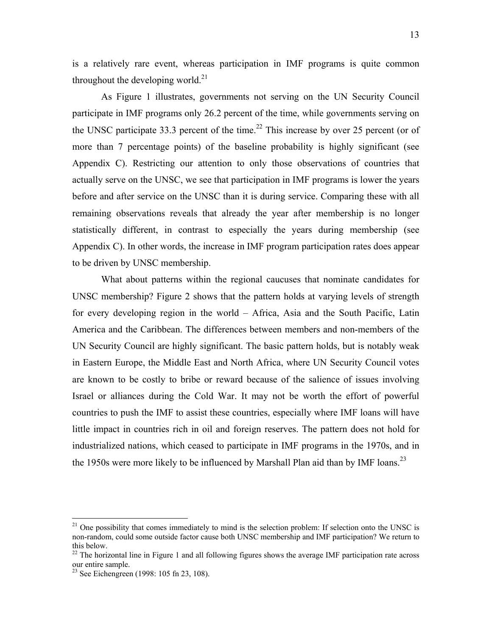is a relatively rare event, whereas participation in IMF programs is quite common throughout the developing world. $^{21}$ 

 As Figure 1 illustrates, governments not serving on the UN Security Council participate in IMF programs only 26.2 percent of the time, while governments serving on the UNSC participate 33.3 percent of the time.<sup>22</sup> This increase by over 25 percent (or of more than 7 percentage points) of the baseline probability is highly significant (see Appendix C). Restricting our attention to only those observations of countries that actually serve on the UNSC, we see that participation in IMF programs is lower the years before and after service on the UNSC than it is during service. Comparing these with all remaining observations reveals that already the year after membership is no longer statistically different, in contrast to especially the years during membership (see Appendix C). In other words, the increase in IMF program participation rates does appear to be driven by UNSC membership.

 What about patterns within the regional caucuses that nominate candidates for UNSC membership? Figure 2 shows that the pattern holds at varying levels of strength for every developing region in the world – Africa, Asia and the South Pacific, Latin America and the Caribbean. The differences between members and non-members of the UN Security Council are highly significant. The basic pattern holds, but is notably weak in Eastern Europe, the Middle East and North Africa, where UN Security Council votes are known to be costly to bribe or reward because of the salience of issues involving Israel or alliances during the Cold War. It may not be worth the effort of powerful countries to push the IMF to assist these countries, especially where IMF loans will have little impact in countries rich in oil and foreign reserves. The pattern does not hold for industrialized nations, which ceased to participate in IMF programs in the 1970s, and in the 1950s were more likely to be influenced by Marshall Plan aid than by IMF loans.<sup>23</sup>

<sup>&</sup>lt;sup>21</sup> One possibility that comes immediately to mind is the selection problem: If selection onto the UNSC is non-random, could some outside factor cause both UNSC membership and IMF participation? We return to this below.

<sup>&</sup>lt;sup>22</sup> The horizontal line in Figure 1 and all following figures shows the average IMF participation rate across our entire sample.

 $23$  See Eichengreen (1998: 105 fn 23, 108).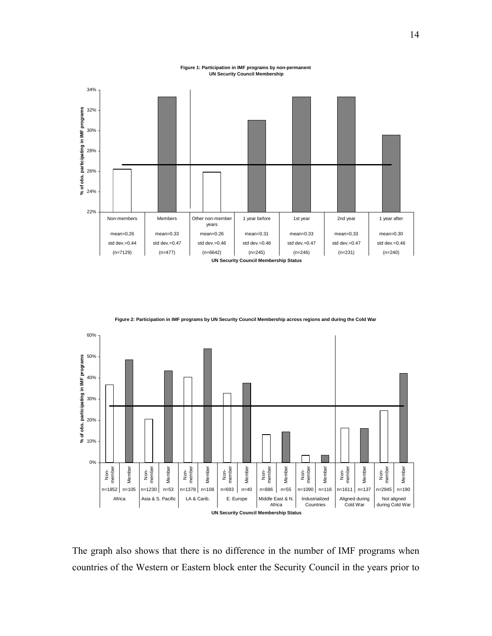#### **Figure 1: Participation in IMF programs by non-permanent UN Security Council Membership**



0% 10% 20% 30% 40% 50% 60% Non-member Member Non-member Member Non-member Member Non-member Member Non-member Member Non-member Member Non-member Member Non-member **Member** n=1852 n=105 n=1230 n=53 n=1378 n=108 n=693 n=40 n=886 n=55 n=1090 n=116 n=1611 n=137 n=2945 n=190 Africa | Asia & S. Pacific | LA & Carib. | E. Europe | Middle East & N. Africa Industrialized Countries Aligned during Cold War Not aligned during Cold War **UN Security Council Membership Status % of obs. participating in IMF programs**

**Figure 2: Participation in IMF programs by UN Security Council Membership across regions and during the Cold War**

The graph also shows that there is no difference in the number of IMF programs when countries of the Western or Eastern block enter the Security Council in the years prior to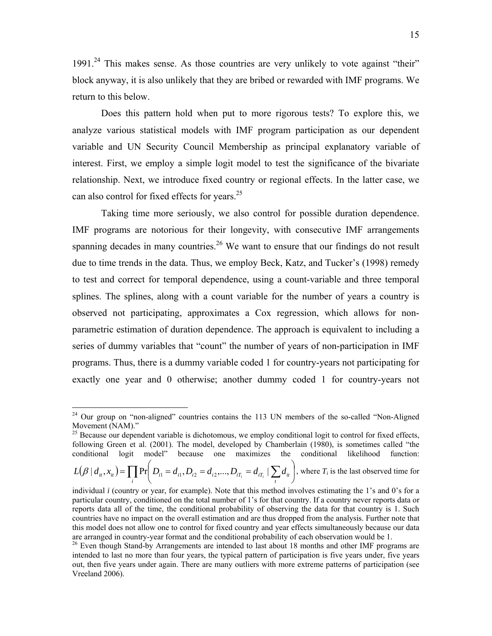$1991<sup>24</sup>$  This makes sense. As those countries are very unlikely to vote against "their" block anyway, it is also unlikely that they are bribed or rewarded with IMF programs. We return to this below.

 Does this pattern hold when put to more rigorous tests? To explore this, we analyze various statistical models with IMF program participation as our dependent variable and UN Security Council Membership as principal explanatory variable of interest. First, we employ a simple logit model to test the significance of the bivariate relationship. Next, we introduce fixed country or regional effects. In the latter case, we can also control for fixed effects for years.<sup>25</sup>

 Taking time more seriously, we also control for possible duration dependence. IMF programs are notorious for their longevity, with consecutive IMF arrangements spanning decades in many countries.<sup>26</sup> We want to ensure that our findings do not result due to time trends in the data. Thus, we employ Beck, Katz, and Tucker's (1998) remedy to test and correct for temporal dependence, using a count-variable and three temporal splines. The splines, along with a count variable for the number of years a country is observed not participating, approximates a Cox regression, which allows for nonparametric estimation of duration dependence. The approach is equivalent to including a series of dummy variables that "count" the number of years of non-participation in IMF programs. Thus, there is a dummy variable coded 1 for country-years not participating for exactly one year and 0 otherwise; another dummy coded 1 for country-years not

 $24$  Our group on "non-aligned" countries contains the 113 UN members of the so-called "Non-Aligned" Movement (NAM)."

<sup>&</sup>lt;sup>25</sup> Because our dependent variable is dichotomous, we employ conditional logit to control for fixed effects, following Green et al. (2001). The model, developed by Chamberlain (1980), is sometimes called "the conditional logit model" because one maximizes the conditional likelihood function:

 $(\beta | d_{ii}, x_{ii}) = \prod_i \Pr \bigg( D_{i1} = d_{i1}, D_{i2} = d_{i2},..., D_{iT_i} = d_{iT_i} | \sum_t d_{it} \bigg)$  $\left(D_{i1} = d_{i1}, D_{i2} = d_{i2},..., D_{iT} = d_{iT} \mid \sum d_{ii}\right)$ ⎝  $=\prod \Pr \left(D_{i1} = d_{i1}, D_{i2} = d_{i2},..., D_{iT}\right)$  $L(\beta | d_{ii}, x_{ii}) = \prod_i Pr\Big(D_{i1} = d_{i1}, D_{i2} = d_{i2},..., D_{iT_i} = d_{iT_i} | \sum_i d_{ii} \Big)$ , where  $T_i$  is the last observed time for

individual *i* (country or year, for example). Note that this method involves estimating the 1's and 0's for a particular country, conditioned on the total number of 1's for that country. If a country never reports data or reports data all of the time, the conditional probability of observing the data for that country is 1. Such countries have no impact on the overall estimation and are thus dropped from the analysis. Further note that this model does not allow one to control for fixed country and year effects simultaneously because our data are arranged in country-year format and the conditional probability of each observation would be 1.<br><sup>26</sup> Even though Stand-by Arrangements are intended to last about 18 months and other IMF programs are

intended to last no more than four years, the typical pattern of participation is five years under, five years out, then five years under again. There are many outliers with more extreme patterns of participation (see Vreeland 2006).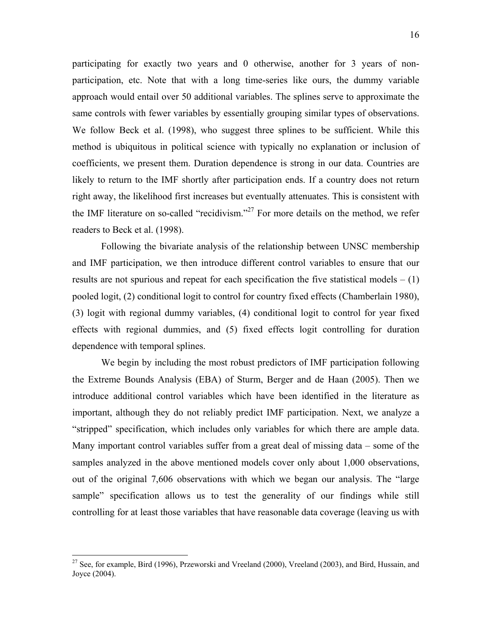participating for exactly two years and 0 otherwise, another for 3 years of nonparticipation, etc. Note that with a long time-series like ours, the dummy variable approach would entail over 50 additional variables. The splines serve to approximate the same controls with fewer variables by essentially grouping similar types of observations. We follow Beck et al. (1998), who suggest three splines to be sufficient. While this method is ubiquitous in political science with typically no explanation or inclusion of coefficients, we present them. Duration dependence is strong in our data. Countries are likely to return to the IMF shortly after participation ends. If a country does not return right away, the likelihood first increases but eventually attenuates. This is consistent with the IMF literature on so-called "recidivism."<sup>27</sup> For more details on the method, we refer readers to Beck et al. (1998).

 Following the bivariate analysis of the relationship between UNSC membership and IMF participation, we then introduce different control variables to ensure that our results are not spurious and repeat for each specification the five statistical models  $- (1)$ pooled logit, (2) conditional logit to control for country fixed effects (Chamberlain 1980), (3) logit with regional dummy variables, (4) conditional logit to control for year fixed effects with regional dummies, and (5) fixed effects logit controlling for duration dependence with temporal splines.

 We begin by including the most robust predictors of IMF participation following the Extreme Bounds Analysis (EBA) of Sturm, Berger and de Haan (2005). Then we introduce additional control variables which have been identified in the literature as important, although they do not reliably predict IMF participation. Next, we analyze a "stripped" specification, which includes only variables for which there are ample data. Many important control variables suffer from a great deal of missing data – some of the samples analyzed in the above mentioned models cover only about 1,000 observations, out of the original 7,606 observations with which we began our analysis. The "large sample" specification allows us to test the generality of our findings while still controlling for at least those variables that have reasonable data coverage (leaving us with

 $27$  See, for example, Bird (1996), Przeworski and Vreeland (2000), Vreeland (2003), and Bird, Hussain, and Joyce (2004).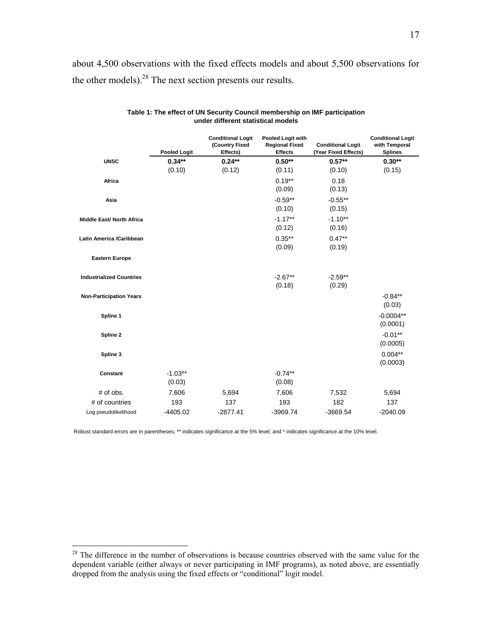about 4,500 observations with the fixed effects models and about 5,500 observations for the other models).28 The next section presents our results.

|                                  | <b>Pooled Logit</b> | <b>Conditional Logit</b><br>(Country Fixed<br>Effects) | Pooled Logit with<br><b>Regional Fixed</b><br><b>Effects</b> | <b>Conditional Logit</b><br>(Year Fixed Effects) | <b>Conditional Logit</b><br>with Temporal<br><b>Splines</b> |
|----------------------------------|---------------------|--------------------------------------------------------|--------------------------------------------------------------|--------------------------------------------------|-------------------------------------------------------------|
| <b>UNSC</b>                      | $0.34**$            | $0.24**$                                               | $0.50**$                                                     | $0.57**$                                         | $0.30**$                                                    |
|                                  | (0.10)              | (0.12)                                                 | (0.11)                                                       | (0.10)                                           | (0.15)                                                      |
| Africa                           |                     |                                                        | $0.19**$<br>(0.09)                                           | 0.18<br>(0.13)                                   |                                                             |
| Asia                             |                     |                                                        | $-0.59**$<br>(0.10)                                          | $-0.55***$<br>(0.15)                             |                                                             |
| <b>Middle East/ North Africa</b> |                     |                                                        | $-1.17**$<br>(0.12)                                          | $-1.10**$<br>(0.16)                              |                                                             |
| Latin America /Caribbean         |                     |                                                        | $0.35***$<br>(0.09)                                          | $0.47**$<br>(0.19)                               |                                                             |
| <b>Eastern Europe</b>            |                     |                                                        |                                                              |                                                  |                                                             |
| <b>Industrialized Countries</b>  |                     |                                                        | $-2.67**$<br>(0.18)                                          | $-2.59**$<br>(0.29)                              |                                                             |
| <b>Non-Participation Years</b>   |                     |                                                        |                                                              |                                                  | $-0.84**$<br>(0.03)                                         |
| Spline 1                         |                     |                                                        |                                                              |                                                  | $-0.0004**$<br>(0.0001)                                     |
| Spline 2                         |                     |                                                        |                                                              |                                                  | $-0.01**$<br>(0.0005)                                       |
| Spline 3                         |                     |                                                        |                                                              |                                                  | $0.004**$<br>(0.0003)                                       |
| Constant                         | $-1.03**$<br>(0.03) |                                                        | $-0.74**$<br>(0.08)                                          |                                                  |                                                             |
| $#$ of obs.                      | 7,606               | 5,694                                                  | 7,606                                                        | 7,532                                            | 5,694                                                       |
| # of countries                   | 193                 | 137                                                    | 193                                                          | 182                                              | 137                                                         |
| Log pseudolikelihood             | $-4405.02$          | $-2877.41$                                             | $-3969.74$                                                   | $-3669.54$                                       | $-2040.09$                                                  |

#### **Table 1: The effect of UN Security Council membership on IMF participation under different statistical models**

Robust standard errors are in parentheses; \*\* indicates significance at the 5% level; and \* indicates significance at the 10% level.

1

 $2<sup>28</sup>$  The difference in the number of observations is because countries observed with the same value for the dependent variable (either always or never participating in IMF programs), as noted above, are essentially dropped from the analysis using the fixed effects or "conditional" logit model.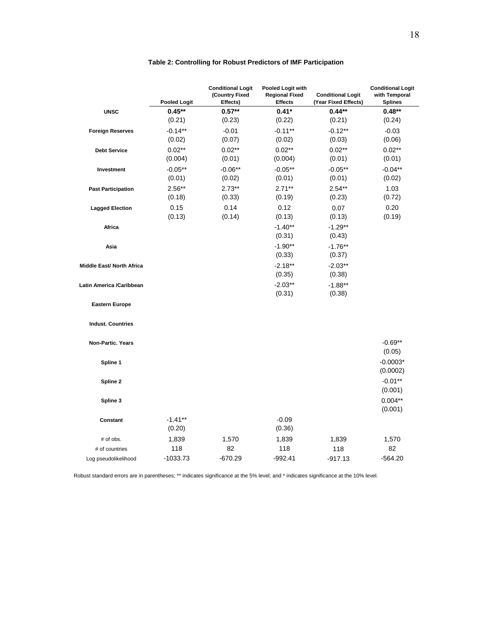|                                  | <b>Pooled Logit</b>  | <b>Conditional Logit</b><br>(Country Fixed<br>Effects) | Pooled Logit with<br><b>Regional Fixed</b><br><b>Effects</b> | <b>Conditional Logit</b><br>(Year Fixed Effects) | <b>Conditional Logit</b><br>with Temporal<br><b>Splines</b> |
|----------------------------------|----------------------|--------------------------------------------------------|--------------------------------------------------------------|--------------------------------------------------|-------------------------------------------------------------|
| <b>UNSC</b>                      | $0.45**$             | $0.57**$                                               | $0.41*$                                                      | $0.44**$                                         | $0.48**$                                                    |
|                                  | (0.21)               | (0.23)                                                 | (0.22)                                                       | (0.21)                                           | (0.24)                                                      |
| <b>Foreign Reserves</b>          | $-0.14***$           | $-0.01$                                                | $-0.11***$                                                   | $-0.12**$                                        | $-0.03$                                                     |
|                                  | (0.02)               | (0.07)                                                 | (0.02)                                                       | (0.03)                                           | (0.06)                                                      |
| <b>Debt Service</b>              | $0.02***$            | $0.02**$                                               | $0.02**$                                                     | $0.02***$                                        | $0.02**$                                                    |
|                                  | (0.004)              | (0.01)                                                 | (0.004)                                                      | (0.01)                                           | (0.01)                                                      |
| Investment                       | $-0.05**$<br>(0.01)  | $-0.06**$<br>(0.02)                                    | $-0.05**$<br>(0.01)                                          | $-0.05**$<br>(0.01)                              | $-0.04**$                                                   |
|                                  | $2.56**$             | $2.73**$                                               | $2.71**$                                                     |                                                  | (0.02)<br>1.03                                              |
| <b>Past Participation</b>        | (0.18)               | (0.33)                                                 | (0.19)                                                       | $2.54***$<br>(0.23)                              | (0.72)                                                      |
| <b>Lagged Election</b>           | 0.15                 | 0.14                                                   | 0.12                                                         | 0.07                                             | 0.20                                                        |
|                                  | (0.13)               | (0.14)                                                 | (0.13)                                                       | (0.13)                                           | (0.19)                                                      |
| Africa                           |                      |                                                        | $-1.40**$                                                    | $-1.29**$                                        |                                                             |
|                                  |                      |                                                        | (0.31)                                                       | (0.43)                                           |                                                             |
| Asia                             |                      |                                                        | $-1.90**$                                                    | $-1.76**$                                        |                                                             |
|                                  |                      |                                                        | (0.33)                                                       | (0.37)                                           |                                                             |
| <b>Middle East/ North Africa</b> |                      |                                                        | $-2.18**$                                                    | $-2.03**$                                        |                                                             |
|                                  |                      |                                                        | (0.35)                                                       | (0.38)                                           |                                                             |
| Latin America /Caribbean         |                      |                                                        | $-2.03**$                                                    | $-1.88**$                                        |                                                             |
|                                  |                      |                                                        | (0.31)                                                       | (0.38)                                           |                                                             |
| <b>Eastern Europe</b>            |                      |                                                        |                                                              |                                                  |                                                             |
| <b>Indust. Countries</b>         |                      |                                                        |                                                              |                                                  |                                                             |
| Non-Partic. Years                |                      |                                                        |                                                              |                                                  | $-0.69**$<br>(0.05)                                         |
| Spline 1                         |                      |                                                        |                                                              |                                                  | $-0.0003*$<br>(0.0002)                                      |
| Spline 2                         |                      |                                                        |                                                              |                                                  | $-0.01**$<br>(0.001)                                        |
| Spline 3                         |                      |                                                        |                                                              |                                                  | $0.004**$<br>(0.001)                                        |
| Constant                         | $-1.41***$<br>(0.20) |                                                        | $-0.09$<br>(0.36)                                            |                                                  |                                                             |
| # of obs.                        | 1,839                | 1,570                                                  | 1,839                                                        | 1,839                                            | 1,570                                                       |
| # of countries                   | 118                  | 82                                                     | 118                                                          | 118                                              | 82                                                          |
| Log pseudolikelihood             | $-1033.73$           | $-670.29$                                              | $-992.41$                                                    | $-917.13$                                        | $-564.20$                                                   |

### **Table 2: Controlling for Robust Predictors of IMF Participation**

Robust standard errors are in parentheses; \*\* indicates significance at the 5% level; and \* indicates significance at the 10% level.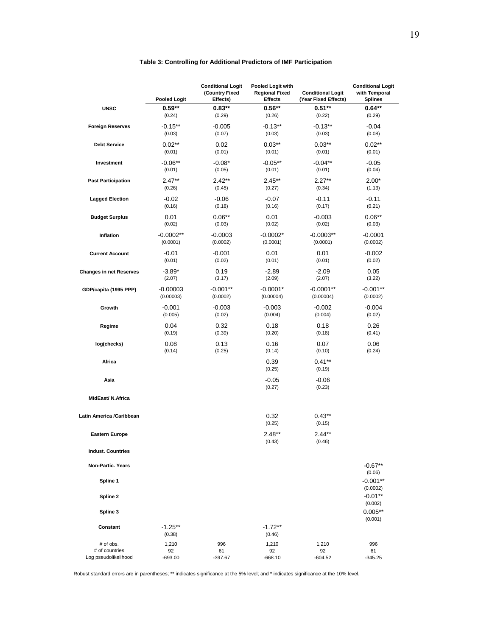### **Table 3: Controlling for Additional Predictors of IMF Participation**

|                                | <b>Pooled Logit</b>     | <b>Conditional Logit</b><br>(Country Fixed<br>Effects) | Pooled Logit with<br><b>Regional Fixed</b><br><b>Effects</b> | <b>Conditional Logit</b><br>(Year Fixed Effects) | <b>Conditional Logit</b><br>with Temporal<br><b>Splines</b> |
|--------------------------------|-------------------------|--------------------------------------------------------|--------------------------------------------------------------|--------------------------------------------------|-------------------------------------------------------------|
| <b>UNSC</b>                    | $0.59**$                | $0.83**$                                               | $0.56**$                                                     | $0.51**$                                         | $0.64**$                                                    |
|                                | (0.24)                  | (0.29)                                                 | (0.26)                                                       | (0.22)                                           | (0.29)                                                      |
| <b>Foreign Reserves</b>        | $-0.15**$<br>(0.03)     | $-0.005$<br>(0.07)                                     | $-0.13**$<br>(0.03)                                          | $-0.13**$<br>(0.03)                              | $-0.04$<br>(0.08)                                           |
| <b>Debt Service</b>            | $0.02**$<br>(0.01)      | 0.02<br>(0.01)                                         | $0.03**$<br>(0.01)                                           | $0.03**$<br>(0.01)                               | $0.02**$<br>(0.01)                                          |
| Investment                     | $-0.06**$<br>(0.01)     | $-0.08*$<br>(0.05)                                     | $-0.05**$<br>(0.01)                                          | $-0.04**$<br>(0.01)                              | $-0.05$<br>(0.04)                                           |
| <b>Past Participation</b>      | $2.47**$<br>(0.26)      | $2.42**$<br>(0.45)                                     | $2.45***$<br>(0.27)                                          | $2.27**$<br>(0.34)                               | $2.00*$<br>(1.13)                                           |
| <b>Lagged Election</b>         | $-0.02$<br>(0.16)       | $-0.06$<br>(0.18)                                      | $-0.07$<br>(0.16)                                            | $-0.11$<br>(0.17)                                | $-0.11$<br>(0.21)                                           |
| <b>Budget Surplus</b>          | 0.01<br>(0.02)          | $0.06**$<br>(0.03)                                     | 0.01<br>(0.02)                                               | $-0.003$<br>(0.02)                               | $0.06**$<br>(0.03)                                          |
| Inflation                      | $-0.0002**$<br>(0.0001) | $-0.0003$<br>(0.0002)                                  | $-0.0002*$<br>(0.0001)                                       | $-0.0003**$<br>(0.0001)                          | $-0.0001$<br>(0.0002)                                       |
| <b>Current Account</b>         | $-0.01$<br>(0.01)       | $-0.001$<br>(0.02)                                     | 0.01<br>(0.01)                                               | 0.01<br>(0.01)                                   | $-0.002$<br>(0.02)                                          |
| <b>Changes in net Reserves</b> | $-3.89*$<br>(2.07)      | 0.19<br>(3.17)                                         | $-2.89$<br>(2.09)                                            | $-2.09$<br>(2.07)                                | 0.05<br>(3.22)                                              |
| GDP/capita (1995 PPP)          | $-0.00003$<br>(0.00003) | $-0.001**$<br>(0.0002)                                 | $-0.0001*$<br>(0.00004)                                      | $-0.0001**$<br>(0.00004)                         | $-0.001**$<br>(0.0002)                                      |
| Growth                         | $-0.001$<br>(0.005)     | $-0.003$<br>(0.02)                                     | $-0.003$<br>(0.004)                                          | $-0.002$<br>(0.004)                              | $-0.004$<br>(0.02)                                          |
| Regime                         | 0.04<br>(0.19)          | 0.32<br>(0.39)                                         | 0.18<br>(0.20)                                               | 0.18<br>(0.18)                                   | 0.26<br>(0.41)                                              |
| log(checks)                    | 0.08<br>(0.14)          | 0.13<br>(0.25)                                         | 0.16<br>(0.14)                                               | 0.07<br>(0.10)                                   | 0.06<br>(0.24)                                              |
| Africa                         |                         |                                                        | 0.39<br>(0.25)                                               | $0.41**$<br>(0.19)                               |                                                             |
| Asia                           |                         |                                                        | $-0.05$<br>(0.27)                                            | $-0.06$<br>(0.23)                                |                                                             |
| MidEast/N.Africa               |                         |                                                        |                                                              |                                                  |                                                             |
| Latin America /Caribbean       |                         |                                                        | 0.32<br>(0.25)                                               | $0.43***$<br>(0.15)                              |                                                             |
| <b>Eastern Europe</b>          |                         |                                                        | $2.48**$<br>(0.43)                                           | $2.44**$<br>(0.46)                               |                                                             |
| <b>Indust. Countries</b>       |                         |                                                        |                                                              |                                                  |                                                             |
| <b>Non-Partic, Years</b>       |                         |                                                        |                                                              |                                                  | $-0.67**$<br>(0.06)                                         |
| Spline 1<br>Spline 2           |                         |                                                        |                                                              |                                                  | $-0.001**$<br>(0.0002)<br>$-0.01***$                        |
| Spline 3                       |                         |                                                        |                                                              |                                                  | (0.002)<br>$0.005**$                                        |
| Constant                       | $-1.25**$               |                                                        | $-1.72**$                                                    |                                                  | (0.001)                                                     |
| # of obs.                      | (0.38)<br>1,210         | 996                                                    | (0.46)<br>1,210                                              | 1,210                                            | 996                                                         |
| # of countries                 | 92                      | 61                                                     | 92                                                           | 92                                               | 61                                                          |
| Log pseudolikelihood           | $-693.00$               | $-397.67$                                              | $-668.10$                                                    | $-604.52$                                        | $-345.25$                                                   |

Robust standard errors are in parentheses; \*\* indicates significance at the 5% level; and \* indicates significance at the 10% level.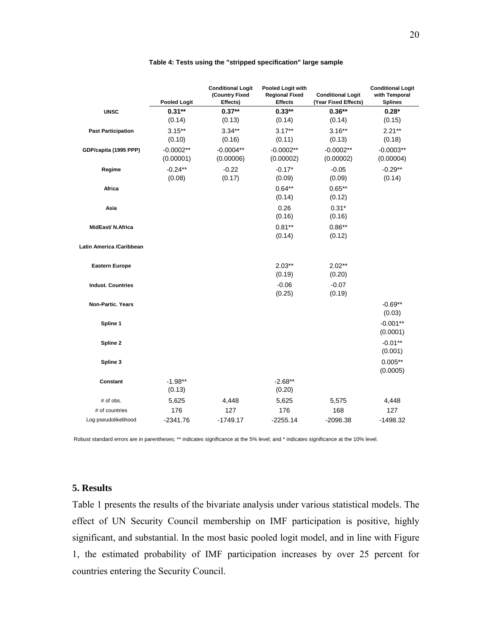|                           | <b>Pooled Logit</b>      | <b>Conditional Logit</b><br>(Country Fixed<br>Effects) | Pooled Logit with<br><b>Regional Fixed</b><br><b>Effects</b> | <b>Conditional Logit</b><br>(Year Fixed Effects) | <b>Conditional Logit</b><br>with Temporal<br><b>Splines</b> |
|---------------------------|--------------------------|--------------------------------------------------------|--------------------------------------------------------------|--------------------------------------------------|-------------------------------------------------------------|
| <b>UNSC</b>               | $0.31***$<br>(0.14)      | $0.37**$<br>(0.13)                                     | $0.33**$<br>(0.14)                                           | $0.36**$<br>(0.14)                               | $0.28*$<br>(0.15)                                           |
| <b>Past Participation</b> | $3.15***$<br>(0.10)      | $3.34***$<br>(0.16)                                    | $3.17***$<br>(0.11)                                          | $3.16***$<br>(0.13)                              | $2.21**$<br>(0.18)                                          |
| GDP/capita (1995 PPP)     | $-0.0002**$<br>(0.00001) | $-0.0004**$<br>(0.00006)                               | $-0.0002**$<br>(0.00002)                                     | $-0.0002**$<br>(0.00002)                         | $-0.0003**$<br>(0.00004)                                    |
| Regime                    | $-0.24**$<br>(0.08)      | $-0.22$<br>(0.17)                                      | $-0.17*$<br>(0.09)                                           | $-0.05$<br>(0.09)                                | $-0.29**$<br>(0.14)                                         |
| Africa                    |                          |                                                        | $0.64***$<br>(0.14)                                          | $0.65***$<br>(0.12)                              |                                                             |
| Asia                      |                          |                                                        | 0.26<br>(0.16)                                               | $0.31*$<br>(0.16)                                |                                                             |
| MidEast/ N.Africa         |                          |                                                        | $0.81**$<br>(0.14)                                           | $0.86**$<br>(0.12)                               |                                                             |
| Latin America /Caribbean  |                          |                                                        |                                                              |                                                  |                                                             |
| <b>Eastern Europe</b>     |                          |                                                        | $2.03**$<br>(0.19)                                           | $2.02**$<br>(0.20)                               |                                                             |
| <b>Indust. Countries</b>  |                          |                                                        | $-0.06$<br>(0.25)                                            | $-0.07$<br>(0.19)                                |                                                             |
| Non-Partic. Years         |                          |                                                        |                                                              |                                                  | $-0.69**$<br>(0.03)                                         |
| Spline 1                  |                          |                                                        |                                                              |                                                  | $-0.001**$<br>(0.0001)                                      |
| Spline 2                  |                          |                                                        |                                                              |                                                  | $-0.01**$<br>(0.001)                                        |
| Spline 3                  |                          |                                                        |                                                              |                                                  | $0.005**$<br>(0.0005)                                       |
| Constant                  | $-1.98**$<br>(0.13)      |                                                        | $-2.68**$<br>(0.20)                                          |                                                  |                                                             |
| # of obs.                 | 5,625                    | 4,448                                                  | 5,625                                                        | 5,575                                            | 4,448                                                       |
| # of countries            | 176                      | 127                                                    | 176                                                          | 168                                              | 127                                                         |
| Log pseudolikelihood      | $-2341.76$               | $-1749.17$                                             | $-2255.14$                                                   | $-2096.38$                                       | $-1498.32$                                                  |

#### **Table 4: Tests using the "stripped specification" large sample**

Robust standard errors are in parentheses; \*\* indicates significance at the 5% level; and \* indicates significance at the 10% level.

### **5. Results**

Table 1 presents the results of the bivariate analysis under various statistical models. The effect of UN Security Council membership on IMF participation is positive, highly significant, and substantial. In the most basic pooled logit model, and in line with Figure 1, the estimated probability of IMF participation increases by over 25 percent for countries entering the Security Council.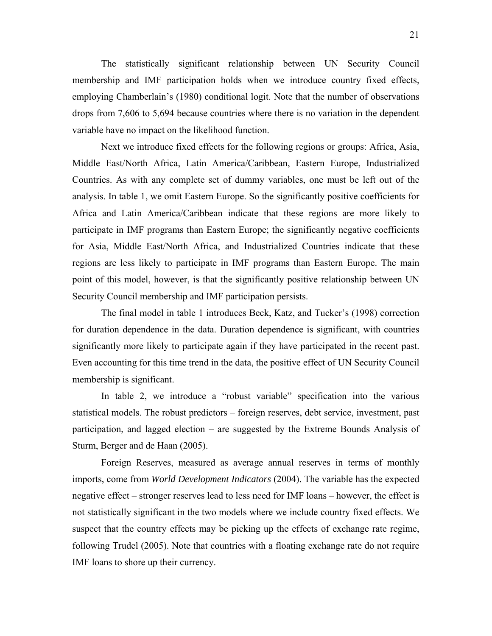The statistically significant relationship between UN Security Council membership and IMF participation holds when we introduce country fixed effects, employing Chamberlain's (1980) conditional logit. Note that the number of observations drops from 7,606 to 5,694 because countries where there is no variation in the dependent variable have no impact on the likelihood function.

 Next we introduce fixed effects for the following regions or groups: Africa, Asia, Middle East/North Africa, Latin America/Caribbean, Eastern Europe, Industrialized Countries. As with any complete set of dummy variables, one must be left out of the analysis. In table 1, we omit Eastern Europe. So the significantly positive coefficients for Africa and Latin America/Caribbean indicate that these regions are more likely to participate in IMF programs than Eastern Europe; the significantly negative coefficients for Asia, Middle East/North Africa, and Industrialized Countries indicate that these regions are less likely to participate in IMF programs than Eastern Europe. The main point of this model, however, is that the significantly positive relationship between UN Security Council membership and IMF participation persists.

 The final model in table 1 introduces Beck, Katz, and Tucker's (1998) correction for duration dependence in the data. Duration dependence is significant, with countries significantly more likely to participate again if they have participated in the recent past. Even accounting for this time trend in the data, the positive effect of UN Security Council membership is significant.

 In table 2, we introduce a "robust variable" specification into the various statistical models. The robust predictors – foreign reserves, debt service, investment, past participation, and lagged election – are suggested by the Extreme Bounds Analysis of Sturm, Berger and de Haan (2005).

 Foreign Reserves, measured as average annual reserves in terms of monthly imports, come from *World Development Indicators* (2004). The variable has the expected negative effect – stronger reserves lead to less need for IMF loans – however, the effect is not statistically significant in the two models where we include country fixed effects. We suspect that the country effects may be picking up the effects of exchange rate regime, following Trudel (2005). Note that countries with a floating exchange rate do not require IMF loans to shore up their currency.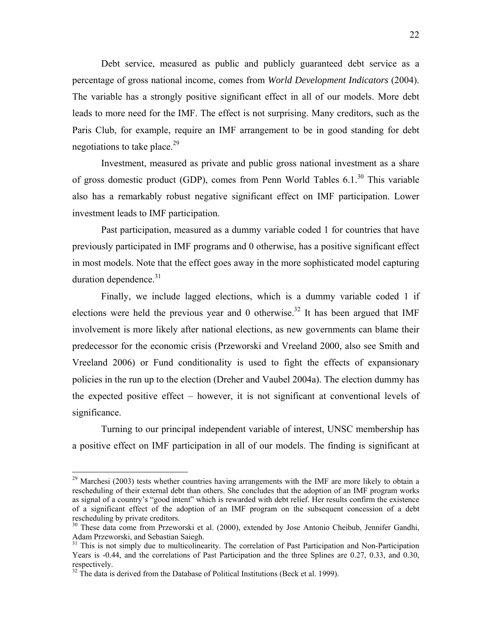Debt service, measured as public and publicly guaranteed debt service as a percentage of gross national income, comes from *World Development Indicators* (2004). The variable has a strongly positive significant effect in all of our models. More debt leads to more need for the IMF. The effect is not surprising. Many creditors, such as the Paris Club, for example, require an IMF arrangement to be in good standing for debt negotiations to take place.<sup>29</sup>

 Investment, measured as private and public gross national investment as a share of gross domestic product (GDP), comes from Penn World Tables  $6.1<sup>30</sup>$  This variable also has a remarkably robust negative significant effect on IMF participation. Lower investment leads to IMF participation.

 Past participation, measured as a dummy variable coded 1 for countries that have previously participated in IMF programs and 0 otherwise, has a positive significant effect in most models. Note that the effect goes away in the more sophisticated model capturing duration dependence. $31$ 

 Finally, we include lagged elections, which is a dummy variable coded 1 if elections were held the previous year and 0 otherwise.<sup>32</sup> It has been argued that IMF involvement is more likely after national elections, as new governments can blame their predecessor for the economic crisis (Przeworski and Vreeland 2000, also see Smith and Vreeland 2006) or Fund conditionality is used to fight the effects of expansionary policies in the run up to the election (Dreher and Vaubel 2004a). The election dummy has the expected positive effect – however, it is not significant at conventional levels of significance.

 Turning to our principal independent variable of interest, UNSC membership has a positive effect on IMF participation in all of our models. The finding is significant at

<sup>&</sup>lt;sup>29</sup> Marchesi (2003) tests whether countries having arrangements with the IMF are more likely to obtain a rescheduling of their external debt than others. She concludes that the adoption of an IMF program works as signal of a country's "good intent" which is rewarded with debt relief. Her results confirm the existence of a significant effect of the adoption of an IMF program on the subsequent concession of a debt rescheduling by private creditors.

<sup>&</sup>lt;sup>30</sup> These data come from Przeworski et al. (2000), extended by Jose Antonio Cheibub, Jennifer Gandhi, Adam Przeworski, and Sebastian Saiegh.

<sup>&</sup>lt;sup>31</sup> This is not simply due to multicolinearity. The correlation of Past Participation and Non-Participation Years is -0.44, and the correlations of Past Participation and the three Splines are 0.27, 0.33, and 0.30, respectively.

 $32$  The data is derived from the Database of Political Institutions (Beck et al. 1999).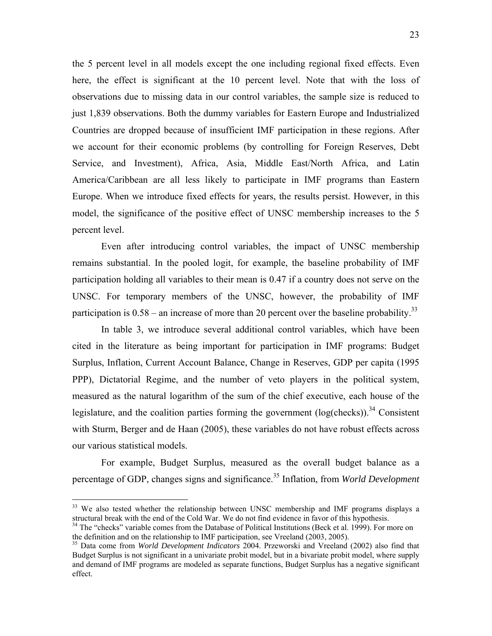the 5 percent level in all models except the one including regional fixed effects. Even here, the effect is significant at the 10 percent level. Note that with the loss of observations due to missing data in our control variables, the sample size is reduced to just 1,839 observations. Both the dummy variables for Eastern Europe and Industrialized Countries are dropped because of insufficient IMF participation in these regions. After we account for their economic problems (by controlling for Foreign Reserves, Debt Service, and Investment), Africa, Asia, Middle East/North Africa, and Latin America/Caribbean are all less likely to participate in IMF programs than Eastern Europe. When we introduce fixed effects for years, the results persist. However, in this model, the significance of the positive effect of UNSC membership increases to the 5 percent level.

 Even after introducing control variables, the impact of UNSC membership remains substantial. In the pooled logit, for example, the baseline probability of IMF participation holding all variables to their mean is 0.47 if a country does not serve on the UNSC. For temporary members of the UNSC, however, the probability of IMF participation is  $0.58$  – an increase of more than 20 percent over the baseline probability.<sup>33</sup>

 In table 3, we introduce several additional control variables, which have been cited in the literature as being important for participation in IMF programs: Budget Surplus, Inflation, Current Account Balance, Change in Reserves, GDP per capita (1995 PPP), Dictatorial Regime, and the number of veto players in the political system, measured as the natural logarithm of the sum of the chief executive, each house of the legislature, and the coalition parties forming the government  $(log(checks))$ .<sup>34</sup> Consistent with Sturm, Berger and de Haan (2005), these variables do not have robust effects across our various statistical models.

 For example, Budget Surplus, measured as the overall budget balance as a percentage of GDP, changes signs and significance.35 Inflation, from *World Development* 

 $33$  We also tested whether the relationship between UNSC membership and IMF programs displays a structural break with the end of the Cold War. We do not find evidence in favor of this hypothesis.

<sup>&</sup>lt;sup>34</sup> The "checks" variable comes from the Database of Political Institutions (Beck et al. 1999). For more on the definition and on the relationship to IMF participation, see Vreeland (2003, 2005).

<sup>35</sup> Data come from *World Development Indicators* 2004. Przeworski and Vreeland (2002) also find that Budget Surplus is not significant in a univariate probit model, but in a bivariate probit model, where supply and demand of IMF programs are modeled as separate functions, Budget Surplus has a negative significant effect.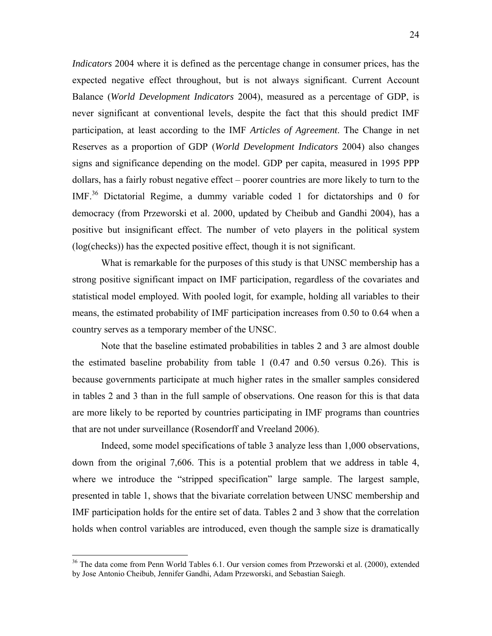*Indicators* 2004 where it is defined as the percentage change in consumer prices, has the expected negative effect throughout, but is not always significant. Current Account Balance (*World Development Indicators* 2004), measured as a percentage of GDP, is never significant at conventional levels, despite the fact that this should predict IMF participation, at least according to the IMF *Articles of Agreement*. The Change in net Reserves as a proportion of GDP (*World Development Indicators* 2004) also changes signs and significance depending on the model. GDP per capita, measured in 1995 PPP dollars, has a fairly robust negative effect – poorer countries are more likely to turn to the IMF.36 Dictatorial Regime, a dummy variable coded 1 for dictatorships and 0 for democracy (from Przeworski et al. 2000, updated by Cheibub and Gandhi 2004), has a positive but insignificant effect. The number of veto players in the political system (log(checks)) has the expected positive effect, though it is not significant.

 What is remarkable for the purposes of this study is that UNSC membership has a strong positive significant impact on IMF participation, regardless of the covariates and statistical model employed. With pooled logit, for example, holding all variables to their means, the estimated probability of IMF participation increases from 0.50 to 0.64 when a country serves as a temporary member of the UNSC.

 Note that the baseline estimated probabilities in tables 2 and 3 are almost double the estimated baseline probability from table 1 (0.47 and 0.50 versus 0.26). This is because governments participate at much higher rates in the smaller samples considered in tables 2 and 3 than in the full sample of observations. One reason for this is that data are more likely to be reported by countries participating in IMF programs than countries that are not under surveillance (Rosendorff and Vreeland 2006).

 Indeed, some model specifications of table 3 analyze less than 1,000 observations, down from the original 7,606. This is a potential problem that we address in table 4, where we introduce the "stripped specification" large sample. The largest sample, presented in table 1, shows that the bivariate correlation between UNSC membership and IMF participation holds for the entire set of data. Tables 2 and 3 show that the correlation holds when control variables are introduced, even though the sample size is dramatically

<sup>&</sup>lt;sup>36</sup> The data come from Penn World Tables 6.1. Our version comes from Przeworski et al. (2000), extended by Jose Antonio Cheibub, Jennifer Gandhi, Adam Przeworski, and Sebastian Saiegh.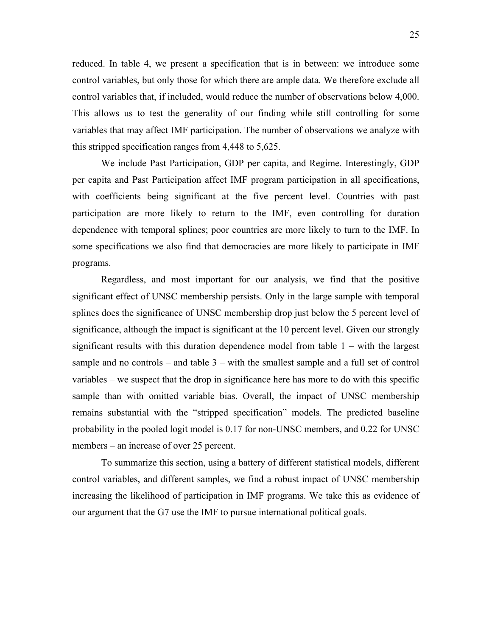reduced. In table 4, we present a specification that is in between: we introduce some control variables, but only those for which there are ample data. We therefore exclude all control variables that, if included, would reduce the number of observations below 4,000. This allows us to test the generality of our finding while still controlling for some variables that may affect IMF participation. The number of observations we analyze with this stripped specification ranges from 4,448 to 5,625.

 We include Past Participation, GDP per capita, and Regime. Interestingly, GDP per capita and Past Participation affect IMF program participation in all specifications, with coefficients being significant at the five percent level. Countries with past participation are more likely to return to the IMF, even controlling for duration dependence with temporal splines; poor countries are more likely to turn to the IMF. In some specifications we also find that democracies are more likely to participate in IMF programs.

 Regardless, and most important for our analysis, we find that the positive significant effect of UNSC membership persists. Only in the large sample with temporal splines does the significance of UNSC membership drop just below the 5 percent level of significance, although the impact is significant at the 10 percent level. Given our strongly significant results with this duration dependence model from table 1 – with the largest sample and no controls – and table  $3$  – with the smallest sample and a full set of control variables – we suspect that the drop in significance here has more to do with this specific sample than with omitted variable bias. Overall, the impact of UNSC membership remains substantial with the "stripped specification" models. The predicted baseline probability in the pooled logit model is 0.17 for non-UNSC members, and 0.22 for UNSC members – an increase of over 25 percent.

 To summarize this section, using a battery of different statistical models, different control variables, and different samples, we find a robust impact of UNSC membership increasing the likelihood of participation in IMF programs. We take this as evidence of our argument that the G7 use the IMF to pursue international political goals.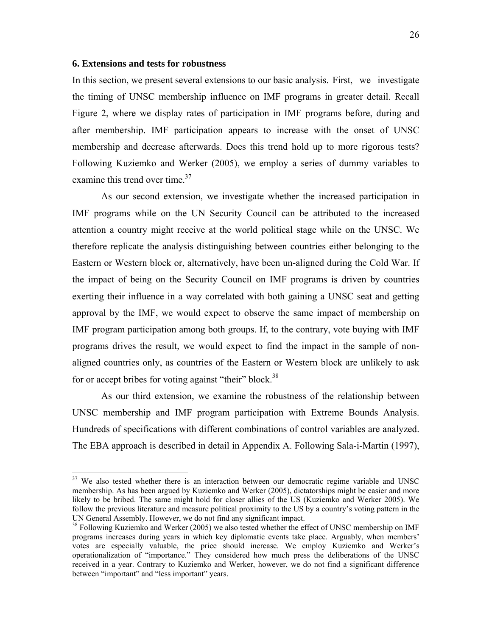### **6. Extensions and tests for robustness**

 $\overline{a}$ 

In this section, we present several extensions to our basic analysis. First, we investigate the timing of UNSC membership influence on IMF programs in greater detail. Recall Figure 2, where we display rates of participation in IMF programs before, during and after membership. IMF participation appears to increase with the onset of UNSC membership and decrease afterwards. Does this trend hold up to more rigorous tests? Following Kuziemko and Werker (2005), we employ a series of dummy variables to examine this trend over time.<sup>37</sup>

As our second extension, we investigate whether the increased participation in IMF programs while on the UN Security Council can be attributed to the increased attention a country might receive at the world political stage while on the UNSC. We therefore replicate the analysis distinguishing between countries either belonging to the Eastern or Western block or, alternatively, have been un-aligned during the Cold War. If the impact of being on the Security Council on IMF programs is driven by countries exerting their influence in a way correlated with both gaining a UNSC seat and getting approval by the IMF, we would expect to observe the same impact of membership on IMF program participation among both groups. If, to the contrary, vote buying with IMF programs drives the result, we would expect to find the impact in the sample of nonaligned countries only, as countries of the Eastern or Western block are unlikely to ask for or accept bribes for voting against "their" block.<sup>38</sup>

As our third extension, we examine the robustness of the relationship between UNSC membership and IMF program participation with Extreme Bounds Analysis. Hundreds of specifications with different combinations of control variables are analyzed. The EBA approach is described in detail in Appendix A. Following Sala-i-Martin (1997),

 $37$  We also tested whether there is an interaction between our democratic regime variable and UNSC membership. As has been argued by Kuziemko and Werker (2005), dictatorships might be easier and more likely to be bribed. The same might hold for closer allies of the US (Kuziemko and Werker 2005). We follow the previous literature and measure political proximity to the US by a country's voting pattern in the UN General Assembly. However, we do not find any significant impact.

<sup>&</sup>lt;sup>38</sup> Following Kuziemko and Werker (2005) we also tested whether the effect of UNSC membership on IMF programs increases during years in which key diplomatic events take place. Arguably, when members' votes are especially valuable, the price should increase. We employ Kuziemko and Werker's operationalization of "importance." They considered how much press the deliberations of the UNSC received in a year. Contrary to Kuziemko and Werker, however, we do not find a significant difference between "important" and "less important" years.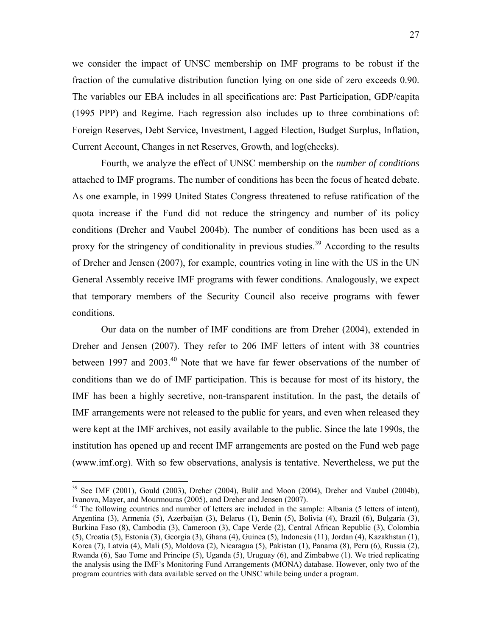we consider the impact of UNSC membership on IMF programs to be robust if the fraction of the cumulative distribution function lying on one side of zero exceeds 0.90. The variables our EBA includes in all specifications are: Past Participation, GDP/capita (1995 PPP) and Regime. Each regression also includes up to three combinations of: Foreign Reserves, Debt Service, Investment, Lagged Election, Budget Surplus, Inflation, Current Account, Changes in net Reserves, Growth, and log(checks).

Fourth, we analyze the effect of UNSC membership on the *number of conditions* attached to IMF programs. The number of conditions has been the focus of heated debate. As one example, in 1999 United States Congress threatened to refuse ratification of the quota increase if the Fund did not reduce the stringency and number of its policy conditions (Dreher and Vaubel 2004b). The number of conditions has been used as a proxy for the stringency of conditionality in previous studies.<sup>39</sup> According to the results of Dreher and Jensen (2007), for example, countries voting in line with the US in the UN General Assembly receive IMF programs with fewer conditions. Analogously, we expect that temporary members of the Security Council also receive programs with fewer conditions.

Our data on the number of IMF conditions are from Dreher (2004), extended in Dreher and Jensen (2007). They refer to 206 IMF letters of intent with 38 countries between 1997 and 2003.<sup>40</sup> Note that we have far fewer observations of the number of conditions than we do of IMF participation. This is because for most of its history, the IMF has been a highly secretive, non-transparent institution. In the past, the details of IMF arrangements were not released to the public for years, and even when released they were kept at the IMF archives, not easily available to the public. Since the late 1990s, the institution has opened up and recent IMF arrangements are posted on the Fund web page (www.imf.org). With so few observations, analysis is tentative. Nevertheless, we put the

 $39$  See IMF (2001), Gould (2003), Dreher (2004), Bulíř and Moon (2004), Dreher and Vaubel (2004b), Ivanova, Mayer, and Mourmouras (2005), and Dreher and Jensen (2007).

 $^{40}$  The following countries and number of letters are included in the sample: Albania (5 letters of intent), Argentina (3), Armenia (5), Azerbaijan (3), Belarus (1), Benin (5), Bolivia (4), Brazil (6), Bulgaria (3), Burkina Faso (8), Cambodia (3), Cameroon (3), Cape Verde (2), Central African Republic (3), Colombia (5), Croatia (5), Estonia (3), Georgia (3), Ghana (4), Guinea (5), Indonesia (11), Jordan (4), Kazakhstan (1), Korea (7), Latvia (4), Mali (5), Moldova (2), Nicaragua (5), Pakistan (1), Panama (8), Peru (6), Russia (2), Rwanda (6), Sao Tome and Principe (5), Uganda (5), Uruguay (6), and Zimbabwe (1). We tried replicating the analysis using the IMF's Monitoring Fund Arrangements (MONA) database. However, only two of the program countries with data available served on the UNSC while being under a program.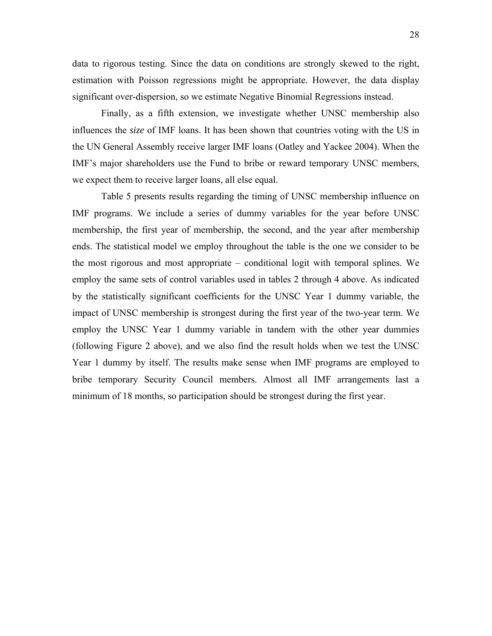data to rigorous testing. Since the data on conditions are strongly skewed to the right, estimation with Poisson regressions might be appropriate. However, the data display significant over-dispersion, so we estimate Negative Binomial Regressions instead.

Finally, as a fifth extension, we investigate whether UNSC membership also influences the *size* of IMF loans. It has been shown that countries voting with the US in the UN General Assembly receive larger IMF loans (Oatley and Yackee 2004). When the IMF's major shareholders use the Fund to bribe or reward temporary UNSC members, we expect them to receive larger loans, all else equal.

Table 5 presents results regarding the timing of UNSC membership influence on IMF programs. We include a series of dummy variables for the year before UNSC membership, the first year of membership, the second, and the year after membership ends. The statistical model we employ throughout the table is the one we consider to be the most rigorous and most appropriate – conditional logit with temporal splines. We employ the same sets of control variables used in tables 2 through 4 above. As indicated by the statistically significant coefficients for the UNSC Year 1 dummy variable, the impact of UNSC membership is strongest during the first year of the two-year term. We employ the UNSC Year 1 dummy variable in tandem with the other year dummies (following Figure 2 above), and we also find the result holds when we test the UNSC Year 1 dummy by itself. The results make sense when IMF programs are employed to bribe temporary Security Council members. Almost all IMF arrangements last a minimum of 18 months, so participation should be strongest during the first year.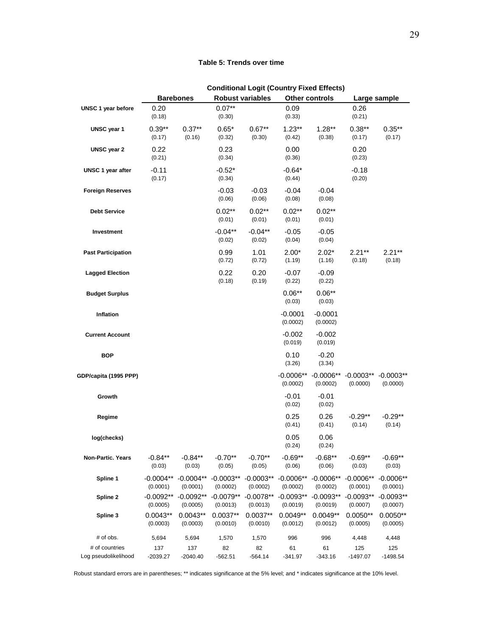### **Table 5: Trends over time**

|                                        | Conditional Logit (Country Fixed Effects) |                         |                         |                         |                         |                         |                                     |                         |
|----------------------------------------|-------------------------------------------|-------------------------|-------------------------|-------------------------|-------------------------|-------------------------|-------------------------------------|-------------------------|
|                                        |                                           | <b>Barebones</b>        | <b>Robust variables</b> |                         | <b>Other controls</b>   |                         | Large sample                        |                         |
| UNSC 1 year before                     | 0.20<br>(0.18)                            |                         | $0.07**$<br>(0.30)      |                         | 0.09<br>(0.33)          |                         | 0.26<br>(0.21)                      |                         |
| UNSC year 1                            | $0.39**$<br>(0.17)                        | $0.37**$<br>(0.16)      | $0.65*$<br>(0.32)       | $0.67**$<br>(0.30)      | $1.23**$<br>(0.42)      | $1.28**$<br>(0.38)      | $0.38**$<br>(0.17)                  | $0.35***$<br>(0.17)     |
| <b>UNSC</b> year 2                     | 0.22<br>(0.21)                            |                         | 0.23<br>(0.34)          |                         | 0.00<br>(0.36)          |                         | 0.20<br>(0.23)                      |                         |
| UNSC 1 year after                      | $-0.11$<br>(0.17)                         |                         | $-0.52*$<br>(0.34)      |                         | $-0.64*$<br>(0.44)      |                         | $-0.18$<br>(0.20)                   |                         |
| <b>Foreign Reserves</b>                |                                           |                         | $-0.03$<br>(0.06)       | $-0.03$<br>(0.06)       | $-0.04$<br>(0.08)       | $-0.04$<br>(0.08)       |                                     |                         |
| <b>Debt Service</b>                    |                                           |                         | $0.02**$<br>(0.01)      | $0.02**$<br>(0.01)      | $0.02**$<br>(0.01)      | $0.02**$<br>(0.01)      |                                     |                         |
| Investment                             |                                           |                         | $-0.04**$<br>(0.02)     | $-0.04**$<br>(0.02)     | $-0.05$<br>(0.04)       | $-0.05$<br>(0.04)       |                                     |                         |
| <b>Past Participation</b>              |                                           |                         | 0.99<br>(0.72)          | 1.01<br>(0.72)          | $2.00*$<br>(1.19)       | $2.02*$<br>(1.16)       | $2.21**$<br>(0.18)                  | $2.21**$<br>(0.18)      |
| <b>Lagged Election</b>                 |                                           |                         | 0.22<br>(0.18)          | 0.20<br>(0.19)          | $-0.07$<br>(0.22)       | $-0.09$<br>(0.22)       |                                     |                         |
| <b>Budget Surplus</b>                  |                                           |                         |                         |                         | $0.06**$<br>(0.03)      | $0.06**$<br>(0.03)      |                                     |                         |
| Inflation                              |                                           |                         |                         |                         | $-0.0001$<br>(0.0002)   | $-0.0001$<br>(0.0002)   |                                     |                         |
| <b>Current Account</b>                 |                                           |                         |                         |                         | -0.002<br>(0.019)       | $-0.002$<br>(0.019)     |                                     |                         |
| <b>BOP</b>                             |                                           |                         |                         |                         | 0.10<br>(3.26)          | $-0.20$<br>(3.34)       |                                     |                         |
| GDP/capita (1995 PPP)                  |                                           |                         |                         |                         | $-0.0006**$<br>(0.0002) | $-0.0006**$<br>(0.0002) | $-0.0003**$ $-0.0003**$<br>(0.0000) | (0.0000)                |
| Growth                                 |                                           |                         |                         |                         | $-0.01$<br>(0.02)       | $-0.01$<br>(0.02)       |                                     |                         |
| Regime                                 |                                           |                         |                         |                         | 0.25<br>(0.41)          | 0.26<br>(0.41)          | $-0.29**$<br>(0.14)                 | $-0.29**$<br>(0.14)     |
| log(checks)                            |                                           |                         |                         |                         | 0.05<br>(0.24)          | 0.06<br>(0.24)          |                                     |                         |
| Non-Partic. Years                      | $-0.84**$<br>(0.03)                       | $-0.84**$<br>(0.03)     | $-0.70**$<br>(0.05)     | $-0.70**$<br>(0.05)     | $-0.69**$<br>(0.06)     | $-0.68**$<br>(0.06)     | $-0.69**$<br>(0.03)                 | $-0.69**$<br>(0.03)     |
| Spline 1                               | $-0.0004**$<br>(0.0001)                   | $-0.0004**$<br>(0.0001) | $-0.0003**$<br>(0.0002) | $-0.0003**$<br>(0.0002) | $-0.0006**$<br>(0.0002) | $-0.0006**$<br>(0.0002) | $-0.0006**$<br>(0.0001)             | $-0.0006**$<br>(0.0001) |
| Spline 2                               | $-0.0092**$<br>(0.0005)                   | $-0.0092**$<br>(0.0005) | $-0.0079**$<br>(0.0013) | $-0.0078**$<br>(0.0013) | $-0.0093**$<br>(0.0019) | $-0.0093**$<br>(0.0019) | $-0.0093**$<br>(0.0007)             | $-0.0093**$<br>(0.0007) |
| Spline 3                               | $0.0043**$<br>(0.0003)                    | $0.0043**$<br>(0.0003)  | $0.0037**$<br>(0.0010)  | $0.0037**$<br>(0.0010)  | $0.0049**$<br>(0.0012)  | $0.0049**$<br>(0.0012)  | $0.0050**$<br>(0.0005)              | $0.0050**$<br>(0.0005)  |
| # of obs.                              | 5,694                                     | 5,694                   | 1,570                   | 1,570                   | 996                     | 996                     | 4,448                               | 4,448                   |
| # of countries<br>Log pseudolikelihood | 137<br>$-2039.27$                         | 137<br>$-2040.40$       | 82<br>$-562.51$         | 82<br>-564.14           | 61<br>$-341.97$         | 61<br>$-343.16$         | 125<br>-1497.07                     | 125<br>$-1498.54$       |

**Conditional Logit (Country Fixed Effects)**

Robust standard errors are in parentheses; \*\* indicates significance at the 5% level; and \* indicates significance at the 10% level.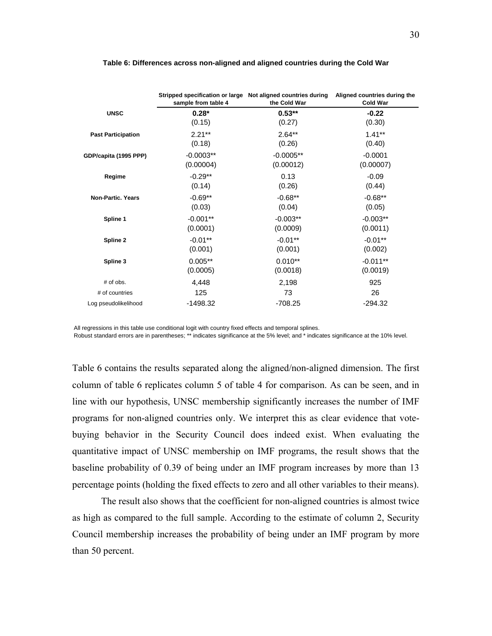|                           | Stripped specification or large Not aligned countries during<br>sample from table 4 | the Cold War | Aligned countries during the<br><b>Cold War</b> |
|---------------------------|-------------------------------------------------------------------------------------|--------------|-------------------------------------------------|
| <b>UNSC</b>               | $0.28*$                                                                             | $0.53**$     | $-0.22$                                         |
|                           | (0.15)                                                                              | (0.27)       | (0.30)                                          |
| <b>Past Participation</b> | $2.21***$                                                                           | $2.64**$     | $1.41***$                                       |
|                           | (0.18)                                                                              | (0.26)       | (0.40)                                          |
| GDP/capita (1995 PPP)     | $-0.0003**$                                                                         | $-0.0005**$  | $-0.0001$                                       |
|                           | (0.00004)                                                                           | (0.00012)    | (0.00007)                                       |
| Regime                    | $-0.29**$                                                                           | 0.13         | $-0.09$                                         |
|                           | (0.14)                                                                              | (0.26)       | (0.44)                                          |
| <b>Non-Partic, Years</b>  | $-0.69**$                                                                           | $-0.68**$    | $-0.68**$                                       |
|                           | (0.03)                                                                              | (0.04)       | (0.05)                                          |
| Spline 1                  | $-0.001**$                                                                          | $-0.003**$   | $-0.003**$                                      |
|                           | (0.0001)                                                                            | (0.0009)     | (0.0011)                                        |
| Spline 2                  | $-0.01***$                                                                          | $-0.01***$   | $-0.01***$                                      |
|                           | (0.001)                                                                             | (0.001)      | (0.002)                                         |
| Spline 3                  | $0.005**$                                                                           | $0.010**$    | $-0.011**$                                      |
|                           | (0.0005)                                                                            | (0.0018)     | (0.0019)                                        |
| $#$ of obs.               | 4,448                                                                               | 2,198        | 925                                             |
| # of countries            | 125                                                                                 | 73           | 26                                              |
| Log pseudolikelihood      | -1498.32                                                                            | $-708.25$    | $-294.32$                                       |

#### **Table 6: Differences across non-aligned and aligned countries during the Cold War**

All regressions in this table use conditional logit with country fixed effects and temporal splines.

Robust standard errors are in parentheses; \*\* indicates significance at the 5% level; and \* indicates significance at the 10% level.

Table 6 contains the results separated along the aligned/non-aligned dimension. The first column of table 6 replicates column 5 of table 4 for comparison. As can be seen, and in line with our hypothesis, UNSC membership significantly increases the number of IMF programs for non-aligned countries only. We interpret this as clear evidence that votebuying behavior in the Security Council does indeed exist. When evaluating the quantitative impact of UNSC membership on IMF programs, the result shows that the baseline probability of 0.39 of being under an IMF program increases by more than 13 percentage points (holding the fixed effects to zero and all other variables to their means).

The result also shows that the coefficient for non-aligned countries is almost twice as high as compared to the full sample. According to the estimate of column 2, Security Council membership increases the probability of being under an IMF program by more than 50 percent.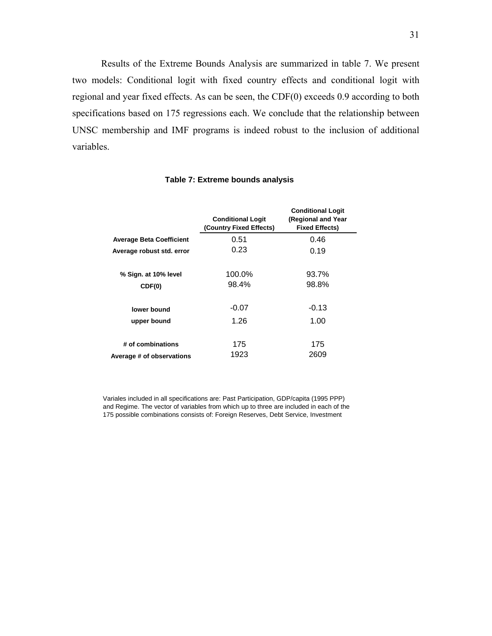Results of the Extreme Bounds Analysis are summarized in table 7. We present two models: Conditional logit with fixed country effects and conditional logit with regional and year fixed effects. As can be seen, the CDF(0) exceeds 0.9 according to both specifications based on 175 regressions each. We conclude that the relationship between UNSC membership and IMF programs is indeed robust to the inclusion of additional variables.

|                                 | <b>Conditional Logit</b><br>(Country Fixed Effects) | <b>Conditional Logit</b><br>(Regional and Year<br><b>Fixed Effects)</b> |
|---------------------------------|-----------------------------------------------------|-------------------------------------------------------------------------|
| <b>Average Beta Coefficient</b> | 0.51                                                | 0.46                                                                    |
| Average robust std. error       | 0.23                                                | 0.19                                                                    |
| % Sign. at 10% level            | 100.0%                                              | 93.7%                                                                   |
| CDF(0)                          | 98.4%                                               | 98.8%                                                                   |
| lower bound                     | $-0.07$                                             | $-0.13$                                                                 |
| upper bound                     | 1.26                                                | 1.00                                                                    |
| # of combinations               | 175                                                 | 175                                                                     |
| Average # of observations       | 1923                                                | 2609                                                                    |

#### **Table 7: Extreme bounds analysis**

Variales included in all specifications are: Past Participation, GDP/capita (1995 PPP) and Regime. The vector of variables from which up to three are included in each of the 175 possible combinations consists of: Foreign Reserves, Debt Service, Investment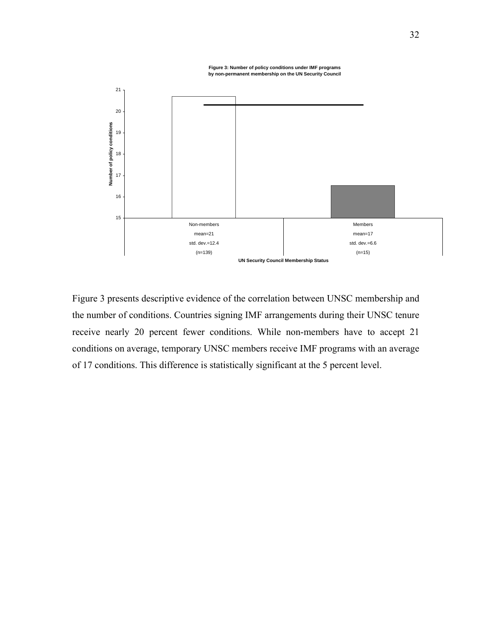**Figure 3: Number of policy conditions under IMF programs by non-permanent membership on the UN Security Council**



Figure 3 presents descriptive evidence of the correlation between UNSC membership and the number of conditions. Countries signing IMF arrangements during their UNSC tenure receive nearly 20 percent fewer conditions. While non-members have to accept 21 conditions on average, temporary UNSC members receive IMF programs with an average of 17 conditions. This difference is statistically significant at the 5 percent level.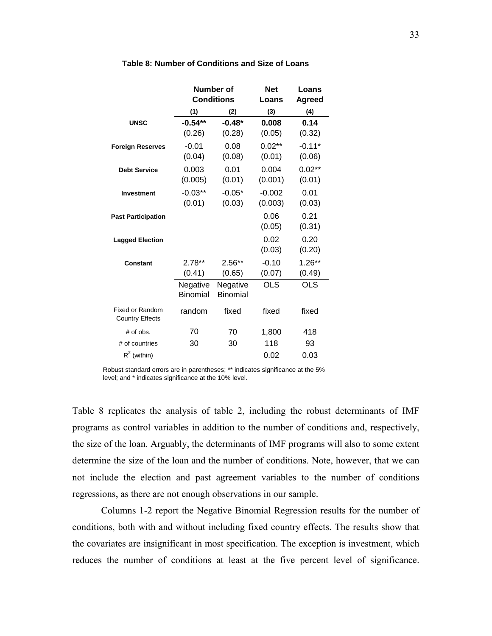|                                           |           | Number of         | <b>Net</b> | Loans         |  |
|-------------------------------------------|-----------|-------------------|------------|---------------|--|
|                                           |           | <b>Conditions</b> | Loans      | <b>Agreed</b> |  |
|                                           | (1)       | (2)               | (3)        | (4)           |  |
| <b>UNSC</b>                               | $-0.54**$ | $-0.48*$          | 0.008      | 0.14          |  |
|                                           | (0.26)    | (0.28)            | (0.05)     | (0.32)        |  |
| <b>Foreign Reserves</b>                   | $-0.01$   | 0.08              | $0.02**$   | $-0.11*$      |  |
|                                           | (0.04)    | (0.08)            | (0.01)     | (0.06)        |  |
| <b>Debt Service</b>                       | 0.003     | 0.01              | 0.004      | $0.02**$      |  |
|                                           | (0.005)   | (0.01)            | (0.001)    | (0.01)        |  |
| <b>Investment</b>                         | $-0.03**$ | $-0.05*$          | $-0.002$   | 0.01          |  |
|                                           | (0.01)    | (0.03)            | (0.003)    | (0.03)        |  |
| <b>Past Participation</b>                 |           |                   | 0.06       | 0.21          |  |
|                                           |           |                   | (0.05)     | (0.31)        |  |
| <b>Lagged Election</b>                    |           |                   | 0.02       | 0.20          |  |
|                                           |           |                   | (0.03)     | (0.20)        |  |
| Constant                                  | $2.78**$  | $2.56**$          | $-0.10$    | $1.26**$      |  |
|                                           | (0.41)    | (0.65)            | (0.07)     | (0.49)        |  |
|                                           | Negative  | Negative          | <b>OLS</b> | <b>OLS</b>    |  |
|                                           | Binomial  | Binomial          |            |               |  |
| Fixed or Random<br><b>Country Effects</b> | random    | fixed             | fixed      | fixed         |  |
| # of obs.                                 | 70        | 70                | 1,800      | 418           |  |
| # of countries                            | 30        | 30                | 118        | 93            |  |
| $R^2$ (within)                            |           |                   | 0.02       | 0.03          |  |

#### **Table 8: Number of Conditions and Size of Loans**

Robust standard errors are in parentheses; \*\* indicates significance at the 5% level; and \* indicates significance at the 10% level.

Table 8 replicates the analysis of table 2, including the robust determinants of IMF programs as control variables in addition to the number of conditions and, respectively, the size of the loan. Arguably, the determinants of IMF programs will also to some extent determine the size of the loan and the number of conditions. Note, however, that we can not include the election and past agreement variables to the number of conditions regressions, as there are not enough observations in our sample.

Columns 1-2 report the Negative Binomial Regression results for the number of conditions, both with and without including fixed country effects. The results show that the covariates are insignificant in most specification. The exception is investment, which reduces the number of conditions at least at the five percent level of significance.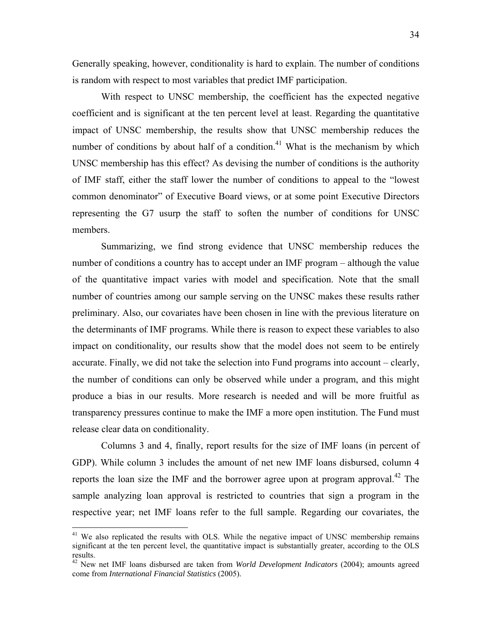Generally speaking, however, conditionality is hard to explain. The number of conditions is random with respect to most variables that predict IMF participation.

With respect to UNSC membership, the coefficient has the expected negative coefficient and is significant at the ten percent level at least. Regarding the quantitative impact of UNSC membership, the results show that UNSC membership reduces the number of conditions by about half of a condition.<sup>41</sup> What is the mechanism by which UNSC membership has this effect? As devising the number of conditions is the authority of IMF staff, either the staff lower the number of conditions to appeal to the "lowest common denominator" of Executive Board views, or at some point Executive Directors representing the G7 usurp the staff to soften the number of conditions for UNSC members.

Summarizing, we find strong evidence that UNSC membership reduces the number of conditions a country has to accept under an IMF program – although the value of the quantitative impact varies with model and specification. Note that the small number of countries among our sample serving on the UNSC makes these results rather preliminary. Also, our covariates have been chosen in line with the previous literature on the determinants of IMF programs. While there is reason to expect these variables to also impact on conditionality, our results show that the model does not seem to be entirely accurate. Finally, we did not take the selection into Fund programs into account – clearly, the number of conditions can only be observed while under a program, and this might produce a bias in our results. More research is needed and will be more fruitful as transparency pressures continue to make the IMF a more open institution. The Fund must release clear data on conditionality.

Columns 3 and 4, finally, report results for the size of IMF loans (in percent of GDP). While column 3 includes the amount of net new IMF loans disbursed, column 4 reports the loan size the IMF and the borrower agree upon at program approval.<sup>42</sup> The sample analyzing loan approval is restricted to countries that sign a program in the respective year; net IMF loans refer to the full sample. Regarding our covariates, the

1

<sup>&</sup>lt;sup>41</sup> We also replicated the results with OLS. While the negative impact of UNSC membership remains significant at the ten percent level, the quantitative impact is substantially greater, according to the OLS results.

<sup>42</sup> New net IMF loans disbursed are taken from *World Development Indicators* (2004); amounts agreed come from *International Financial Statistics* (2005).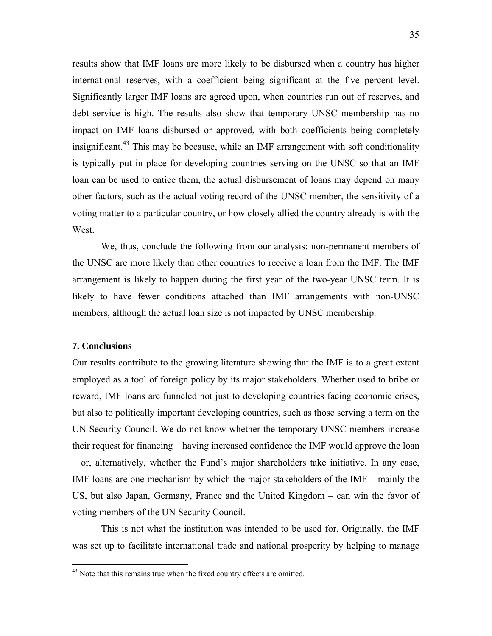results show that IMF loans are more likely to be disbursed when a country has higher international reserves, with a coefficient being significant at the five percent level. Significantly larger IMF loans are agreed upon, when countries run out of reserves, and debt service is high. The results also show that temporary UNSC membership has no impact on IMF loans disbursed or approved, with both coefficients being completely insignificant.<sup>43</sup> This may be because, while an IMF arrangement with soft conditionality is typically put in place for developing countries serving on the UNSC so that an IMF loan can be used to entice them, the actual disbursement of loans may depend on many other factors, such as the actual voting record of the UNSC member, the sensitivity of a voting matter to a particular country, or how closely allied the country already is with the West.

 We, thus, conclude the following from our analysis: non-permanent members of the UNSC are more likely than other countries to receive a loan from the IMF. The IMF arrangement is likely to happen during the first year of the two-year UNSC term. It is likely to have fewer conditions attached than IMF arrangements with non-UNSC members, although the actual loan size is not impacted by UNSC membership.

### **7. Conclusions**

<u>.</u>

Our results contribute to the growing literature showing that the IMF is to a great extent employed as a tool of foreign policy by its major stakeholders. Whether used to bribe or reward, IMF loans are funneled not just to developing countries facing economic crises, but also to politically important developing countries, such as those serving a term on the UN Security Council. We do not know whether the temporary UNSC members increase their request for financing – having increased confidence the IMF would approve the loan – or, alternatively, whether the Fund's major shareholders take initiative. In any case, IMF loans are one mechanism by which the major stakeholders of the IMF – mainly the US, but also Japan, Germany, France and the United Kingdom – can win the favor of voting members of the UN Security Council.

 This is not what the institution was intended to be used for. Originally, the IMF was set up to facilitate international trade and national prosperity by helping to manage

<sup>&</sup>lt;sup>43</sup> Note that this remains true when the fixed country effects are omitted.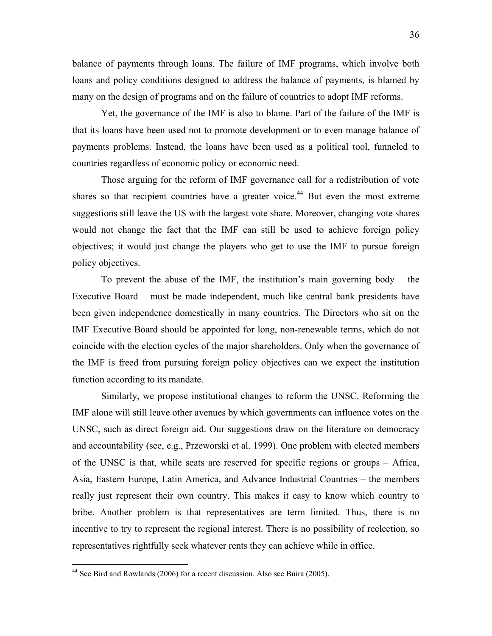balance of payments through loans. The failure of IMF programs, which involve both loans and policy conditions designed to address the balance of payments, is blamed by many on the design of programs and on the failure of countries to adopt IMF reforms.

 Yet, the governance of the IMF is also to blame. Part of the failure of the IMF is that its loans have been used not to promote development or to even manage balance of payments problems. Instead, the loans have been used as a political tool, funneled to countries regardless of economic policy or economic need.

Those arguing for the reform of IMF governance call for a redistribution of vote shares so that recipient countries have a greater voice.<sup>44</sup> But even the most extreme suggestions still leave the US with the largest vote share. Moreover, changing vote shares would not change the fact that the IMF can still be used to achieve foreign policy objectives; it would just change the players who get to use the IMF to pursue foreign policy objectives.

To prevent the abuse of the IMF, the institution's main governing body – the Executive Board – must be made independent, much like central bank presidents have been given independence domestically in many countries. The Directors who sit on the IMF Executive Board should be appointed for long, non-renewable terms, which do not coincide with the election cycles of the major shareholders. Only when the governance of the IMF is freed from pursuing foreign policy objectives can we expect the institution function according to its mandate.

Similarly, we propose institutional changes to reform the UNSC. Reforming the IMF alone will still leave other avenues by which governments can influence votes on the UNSC, such as direct foreign aid. Our suggestions draw on the literature on democracy and accountability (see, e.g., Przeworski et al. 1999). One problem with elected members of the UNSC is that, while seats are reserved for specific regions or groups – Africa, Asia, Eastern Europe, Latin America, and Advance Industrial Countries – the members really just represent their own country. This makes it easy to know which country to bribe. Another problem is that representatives are term limited. Thus, there is no incentive to try to represent the regional interest. There is no possibility of reelection, so representatives rightfully seek whatever rents they can achieve while in office.

<sup>&</sup>lt;sup>44</sup> See Bird and Rowlands (2006) for a recent discussion. Also see Buira (2005).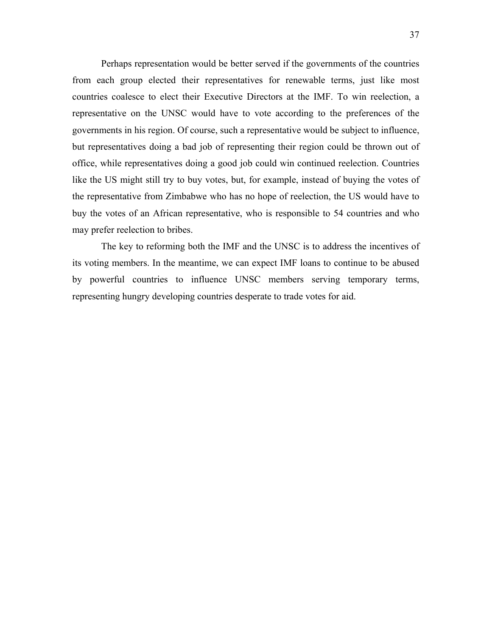Perhaps representation would be better served if the governments of the countries from each group elected their representatives for renewable terms, just like most countries coalesce to elect their Executive Directors at the IMF. To win reelection, a representative on the UNSC would have to vote according to the preferences of the governments in his region. Of course, such a representative would be subject to influence, but representatives doing a bad job of representing their region could be thrown out of office, while representatives doing a good job could win continued reelection. Countries like the US might still try to buy votes, but, for example, instead of buying the votes of the representative from Zimbabwe who has no hope of reelection, the US would have to buy the votes of an African representative, who is responsible to 54 countries and who may prefer reelection to bribes.

The key to reforming both the IMF and the UNSC is to address the incentives of its voting members. In the meantime, we can expect IMF loans to continue to be abused by powerful countries to influence UNSC members serving temporary terms, representing hungry developing countries desperate to trade votes for aid.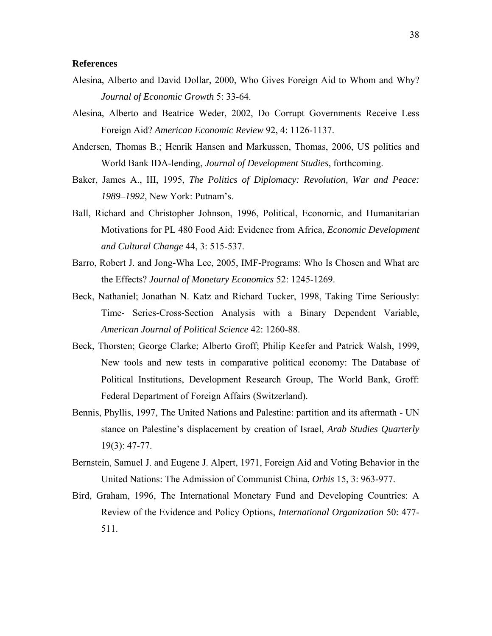### **References**

- Alesina, Alberto and David Dollar, 2000, Who Gives Foreign Aid to Whom and Why? *Journal of Economic Growth* 5: 33-64.
- Alesina, Alberto and Beatrice Weder, 2002, Do Corrupt Governments Receive Less Foreign Aid? *American Economic Review* 92, 4: 1126-1137.
- Andersen, Thomas B.; Henrik Hansen and Markussen, Thomas, 2006, US politics and World Bank IDA-lending, *Journal of Development Studies*, forthcoming.
- Baker, James A., III, 1995, *The Politics of Diplomacy: Revolution, War and Peace: 1989–1992*, New York: Putnam's.
- Ball, Richard and Christopher Johnson, 1996, Political, Economic, and Humanitarian Motivations for PL 480 Food Aid: Evidence from Africa, *Economic Development and Cultural Change* 44, 3: 515-537.
- Barro, Robert J. and Jong-Wha Lee, 2005, IMF-Programs: Who Is Chosen and What are the Effects? *Journal of Monetary Economics* 52: 1245-1269.
- Beck, Nathaniel; Jonathan N. Katz and Richard Tucker, 1998, Taking Time Seriously: Time- Series-Cross-Section Analysis with a Binary Dependent Variable, *American Journal of Political Science* 42: 1260-88.
- Beck, Thorsten; George Clarke; Alberto Groff; Philip Keefer and Patrick Walsh, 1999, New tools and new tests in comparative political economy: The Database of Political Institutions, Development Research Group, The World Bank, Groff: Federal Department of Foreign Affairs (Switzerland).
- Bennis, Phyllis, 1997, The United Nations and Palestine: partition and its aftermath UN stance on Palestine's displacement by creation of Israel, *Arab Studies Quarterly* 19(3): 47-77.
- Bernstein, Samuel J. and Eugene J. Alpert, 1971, Foreign Aid and Voting Behavior in the United Nations: The Admission of Communist China, *Orbis* 15, 3: 963-977.
- Bird, Graham, 1996, The International Monetary Fund and Developing Countries: A Review of the Evidence and Policy Options, *International Organization* 50: 477- 511.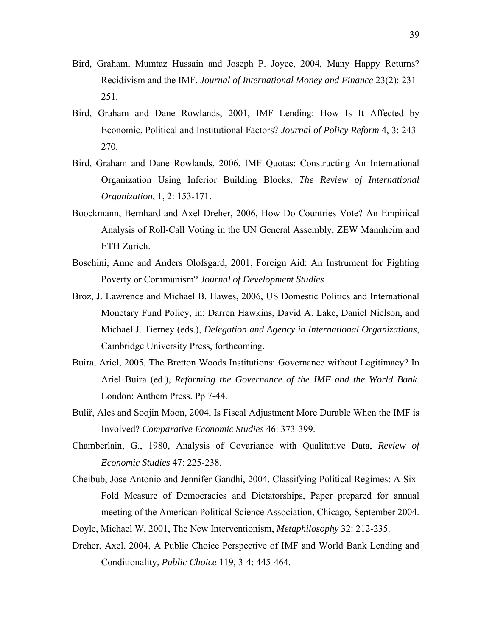- Bird, Graham, Mumtaz Hussain and Joseph P. Joyce, 2004, Many Happy Returns? Recidivism and the IMF, *Journal of International Money and Finance* 23(2): 231- 251.
- Bird, Graham and Dane Rowlands, 2001, IMF Lending: How Is It Affected by Economic, Political and Institutional Factors? *Journal of Policy Reform* 4, 3: 243- 270.
- Bird, Graham and Dane Rowlands, 2006, IMF Quotas: Constructing An International Organization Using Inferior Building Blocks, *The Review of International Organization*, 1, 2: 153-171.
- Boockmann, Bernhard and Axel Dreher, 2006, How Do Countries Vote? An Empirical Analysis of Roll-Call Voting in the UN General Assembly, ZEW Mannheim and ETH Zurich.
- Boschini, Anne and Anders Olofsgard, 2001, Foreign Aid: An Instrument for Fighting Poverty or Communism? *Journal of Development Studies*.
- Broz, J. Lawrence and Michael B. Hawes, 2006, US Domestic Politics and International Monetary Fund Policy, in: Darren Hawkins, David A. Lake, Daniel Nielson, and Michael J. Tierney (eds.), *Delegation and Agency in International Organizations*, Cambridge University Press, forthcoming.
- Buira, Ariel, 2005, The Bretton Woods Institutions: Governance without Legitimacy? In Ariel Buira (ed.), *Reforming the Governance of the IMF and the World Bank*. London: Anthem Press. Pp 7-44.
- Bulíř, Aleš and Soojin Moon, 2004, Is Fiscal Adjustment More Durable When the IMF is Involved? *Comparative Economic Studies* 46: 373-399.
- Chamberlain, G., 1980, Analysis of Covariance with Qualitative Data, *Review of Economic Studies* 47: 225-238.
- Cheibub, Jose Antonio and Jennifer Gandhi, 2004, Classifying Political Regimes: A Six-Fold Measure of Democracies and Dictatorships, Paper prepared for annual meeting of the American Political Science Association, Chicago, September 2004.
- Doyle, Michael W, 2001, The New Interventionism, *Metaphilosophy* 32: 212-235.
- Dreher, Axel, 2004, A Public Choice Perspective of IMF and World Bank Lending and Conditionality, *Public Choice* 119, 3-4: 445-464.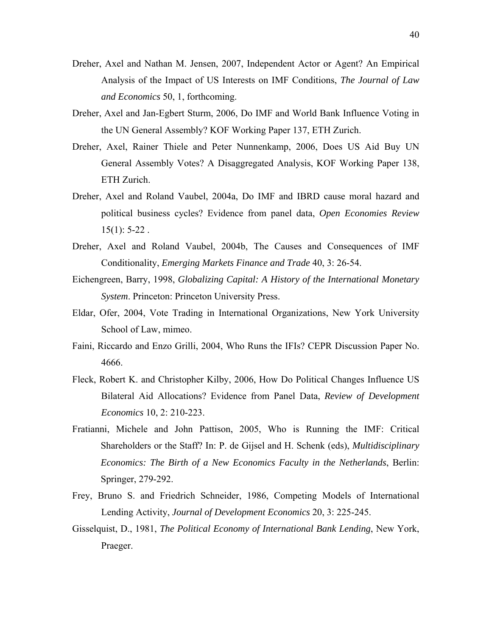- Dreher, Axel and Nathan M. Jensen, 2007, Independent Actor or Agent? An Empirical Analysis of the Impact of US Interests on IMF Conditions, *The Journal of Law and Economics* 50, 1, forthcoming.
- Dreher, Axel and Jan-Egbert Sturm, 2006, Do IMF and World Bank Influence Voting in the UN General Assembly? KOF Working Paper 137, ETH Zurich.
- Dreher, Axel, Rainer Thiele and Peter Nunnenkamp, 2006, Does US Aid Buy UN General Assembly Votes? A Disaggregated Analysis, KOF Working Paper 138, ETH Zurich.
- Dreher, Axel and Roland Vaubel, 2004a, Do IMF and IBRD cause moral hazard and political business cycles? Evidence from panel data, *Open Economies Review*  $15(1)$ : 5-22.
- Dreher, Axel and Roland Vaubel, 2004b, The Causes and Consequences of IMF Conditionality, *Emerging Markets Finance and Trade* 40, 3: 26-54.
- Eichengreen, Barry, 1998, *Globalizing Capital: A History of the International Monetary System*. Princeton: Princeton University Press.
- Eldar, Ofer, 2004, Vote Trading in International Organizations, New York University School of Law, mimeo.
- Faini, Riccardo and Enzo Grilli, 2004, Who Runs the IFIs? CEPR Discussion Paper No. 4666.
- Fleck, Robert K. and Christopher Kilby, 2006, How Do Political Changes Influence US Bilateral Aid Allocations? Evidence from Panel Data, *Review of Development Economics* 10, 2: 210-223.
- Fratianni, Michele and John Pattison, 2005, Who is Running the IMF: Critical Shareholders or the Staff? In: P. de Gijsel and H. Schenk (eds), *Multidisciplinary Economics: The Birth of a New Economics Faculty in the Netherlands*, Berlin: Springer, 279-292.
- Frey, Bruno S. and Friedrich Schneider, 1986, Competing Models of International Lending Activity, *Journal of Development Economics* 20, 3: 225-245.
- Gisselquist, D., 1981, *The Political Economy of International Bank Lending*, New York, Praeger.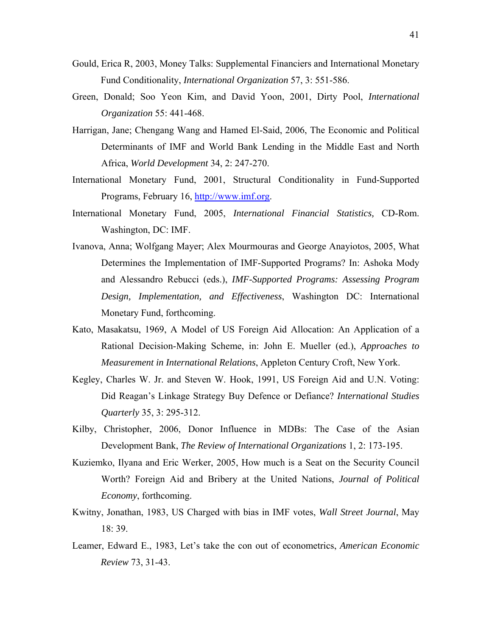- Gould, Erica R, 2003, Money Talks: Supplemental Financiers and International Monetary Fund Conditionality, *International Organization* 57, 3: 551-586.
- Green, Donald; Soo Yeon Kim, and David Yoon, 2001, Dirty Pool, *International Organization* 55: 441-468.
- Harrigan, Jane; Chengang Wang and Hamed El-Said, 2006, The Economic and Political Determinants of IMF and World Bank Lending in the Middle East and North Africa, *World Development* 34, 2: 247-270.
- International Monetary Fund, 2001, Structural Conditionality in Fund-Supported Programs, February 16, http://www.imf.org.
- International Monetary Fund, 2005, *International Financial Statistics,* CD-Rom. Washington, DC: IMF.
- Ivanova, Anna; Wolfgang Mayer; Alex Mourmouras and George Anayiotos, 2005, What Determines the Implementation of IMF-Supported Programs? In: Ashoka Mody and Alessandro Rebucci (eds.), *IMF-Supported Programs: Assessing Program Design, Implementation, and Effectiveness*, Washington DC: International Monetary Fund, forthcoming.
- Kato, Masakatsu, 1969, A Model of US Foreign Aid Allocation: An Application of a Rational Decision-Making Scheme, in: John E. Mueller (ed.), *Approaches to Measurement in International Relations*, Appleton Century Croft, New York.
- Kegley, Charles W. Jr. and Steven W. Hook, 1991, US Foreign Aid and U.N. Voting: Did Reagan's Linkage Strategy Buy Defence or Defiance? *International Studies Quarterly* 35, 3: 295-312.
- Kilby, Christopher, 2006, Donor Influence in MDBs: The Case of the Asian Development Bank, *The Review of International Organizations* 1, 2: 173-195.
- Kuziemko, Ilyana and Eric Werker, 2005, How much is a Seat on the Security Council Worth? Foreign Aid and Bribery at the United Nations, *Journal of Political Economy*, forthcoming.
- Kwitny, Jonathan, 1983, US Charged with bias in IMF votes, *Wall Street Journal*, May 18: 39.
- Leamer, Edward E., 1983, Let's take the con out of econometrics, *American Economic Review* 73, 31-43.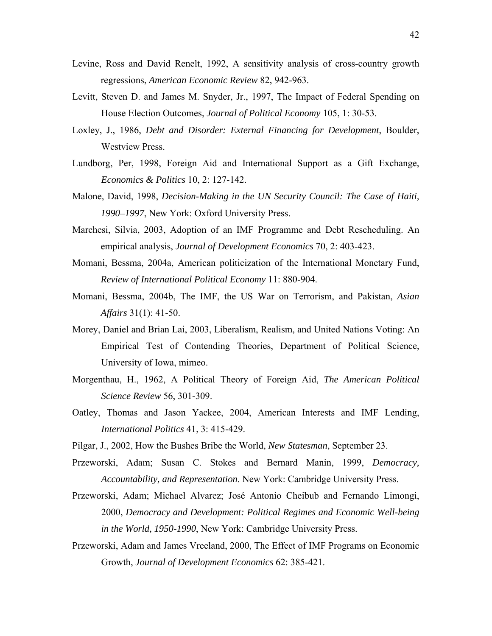- Levine, Ross and David Renelt, 1992, A sensitivity analysis of cross-country growth regressions, *American Economic Review* 82, 942-963.
- Levitt, Steven D. and James M. Snyder, Jr., 1997, The Impact of Federal Spending on House Election Outcomes, *Journal of Political Economy* 105, 1: 30-53.
- Loxley, J., 1986, *Debt and Disorder: External Financing for Development*, Boulder, Westview Press.
- Lundborg, Per, 1998, Foreign Aid and International Support as a Gift Exchange, *Economics & Politics* 10, 2: 127-142.
- Malone, David, 1998, *Decision-Making in the UN Security Council: The Case of Haiti, 1990–1997*, New York: Oxford University Press.
- Marchesi, Silvia, 2003, Adoption of an IMF Programme and Debt Rescheduling. An empirical analysis, *Journal of Development Economics* 70, 2: 403-423.
- Momani, Bessma, 2004a, American politicization of the International Monetary Fund, *Review of International Political Economy* 11: 880-904.
- Momani, Bessma, 2004b, The IMF, the US War on Terrorism, and Pakistan, *Asian Affairs* 31(1): 41-50.
- Morey, Daniel and Brian Lai, 2003, Liberalism, Realism, and United Nations Voting: An Empirical Test of Contending Theories, Department of Political Science, University of Iowa, mimeo.
- Morgenthau, H., 1962, A Political Theory of Foreign Aid, *The American Political Science Review* 56, 301-309.
- Oatley, Thomas and Jason Yackee, 2004, American Interests and IMF Lending, *International Politics* 41, 3: 415-429.
- Pilgar, J., 2002, How the Bushes Bribe the World, *New Statesman*, September 23.
- Przeworski, Adam; Susan C. Stokes and Bernard Manin, 1999, *Democracy, Accountability, and Representation*. New York: Cambridge University Press.
- Przeworski, Adam; Michael Alvarez; José Antonio Cheibub and Fernando Limongi, 2000, *Democracy and Development: Political Regimes and Economic Well-being in the World, 1950-1990*, New York: Cambridge University Press.
- Przeworski, Adam and James Vreeland, 2000, The Effect of IMF Programs on Economic Growth, *Journal of Development Economics* 62: 385-421.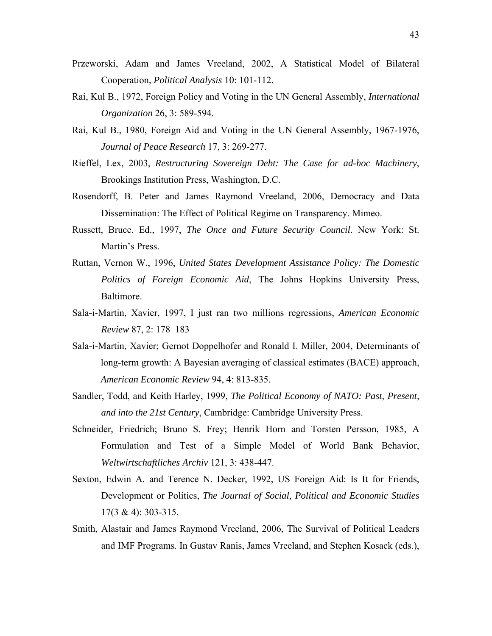- Przeworski, Adam and James Vreeland, 2002, A Statistical Model of Bilateral Cooperation, *Political Analysis* 10: 101-112.
- Rai, Kul B., 1972, Foreign Policy and Voting in the UN General Assembly, *International Organization* 26, 3: 589-594.
- Rai, Kul B., 1980, Foreign Aid and Voting in the UN General Assembly, 1967-1976, *Journal of Peace Research* 17, 3: 269-277.
- Rieffel, Lex, 2003, *Restructuring Sovereign Debt: The Case for ad-hoc Machinery*, Brookings Institution Press, Washington, D.C.
- Rosendorff, B. Peter and James Raymond Vreeland, 2006, Democracy and Data Dissemination: The Effect of Political Regime on Transparency. Mimeo.
- Russett, Bruce. Ed., 1997, *The Once and Future Security Council*. New York: St. Martin's Press.
- Ruttan, Vernon W., 1996, *United States Development Assistance Policy: The Domestic Politics of Foreign Economic Aid*, The Johns Hopkins University Press, Baltimore.
- Sala-i-Martin, Xavier, 1997, I just ran two millions regressions, *American Economic Review* 87, 2: 178–183
- Sala-i-Martin, Xavier; Gernot Doppelhofer and Ronald I. Miller, 2004, Determinants of long-term growth: A Bayesian averaging of classical estimates (BACE) approach, *American Economic Review* 94, 4: 813-835.
- Sandler, Todd, and Keith Harley, 1999, *The Political Economy of NATO: Past, Present, and into the 21st Century*, Cambridge: Cambridge University Press.
- Schneider, Friedrich; Bruno S. Frey; Henrik Horn and Torsten Persson, 1985, A Formulation and Test of a Simple Model of World Bank Behavior, *Weltwirtschaftliches Archiv* 121, 3: 438-447.
- Sexton, Edwin A. and Terence N. Decker, 1992, US Foreign Aid: Is It for Friends, Development or Politics, *The Journal of Social, Political and Economic Studies*  17(3 & 4): 303-315.
- Smith, Alastair and James Raymond Vreeland, 2006, The Survival of Political Leaders and IMF Programs. In Gustav Ranis, James Vreeland, and Stephen Kosack (eds.),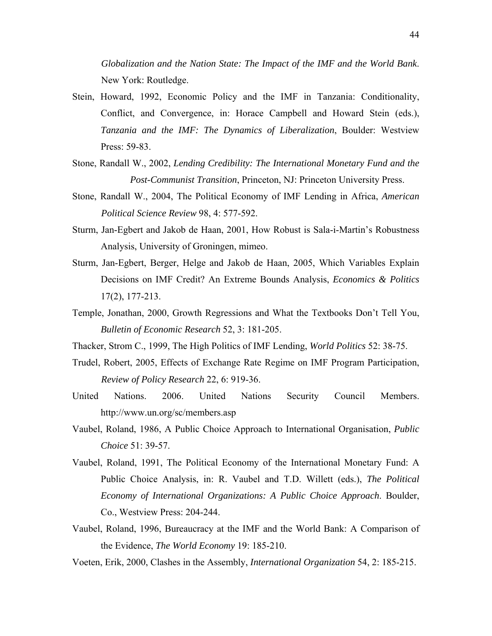*Globalization and the Nation State: The Impact of the IMF and the World Bank*. New York: Routledge.

- Stein, Howard, 1992, Economic Policy and the IMF in Tanzania: Conditionality, Conflict, and Convergence, in: Horace Campbell and Howard Stein (eds.), *Tanzania and the IMF: The Dynamics of Liberalization*, Boulder: Westview Press: 59-83.
- Stone, Randall W., 2002, *Lending Credibility: The International Monetary Fund and the Post-Communist Transition*, Princeton, NJ: Princeton University Press.
- Stone, Randall W., 2004, The Political Economy of IMF Lending in Africa, *American Political Science Review* 98, 4: 577-592.
- Sturm, Jan-Egbert and Jakob de Haan, 2001, How Robust is Sala-i-Martin's Robustness Analysis, University of Groningen, mimeo.
- Sturm, Jan-Egbert, Berger, Helge and Jakob de Haan, 2005, Which Variables Explain Decisions on IMF Credit? An Extreme Bounds Analysis, *Economics & Politics* 17(2), 177-213.
- Temple, Jonathan, 2000, Growth Regressions and What the Textbooks Don't Tell You, *Bulletin of Economic Research* 52, 3: 181-205.
- Thacker, Strom C., 1999, The High Politics of IMF Lending, *World Politics* 52: 38-75.
- Trudel, Robert, 2005, Effects of Exchange Rate Regime on IMF Program Participation, *Review of Policy Research* 22, 6: 919-36.
- United Nations. 2006. United Nations Security Council Members. http://www.un.org/sc/members.asp
- Vaubel, Roland, 1986, A Public Choice Approach to International Organisation, *Public Choice* 51: 39-57.
- Vaubel, Roland, 1991, The Political Economy of the International Monetary Fund: A Public Choice Analysis, in: R. Vaubel and T.D. Willett (eds.), *The Political Economy of International Organizations: A Public Choice Approach*. Boulder, Co., Westview Press: 204-244.
- Vaubel, Roland, 1996, Bureaucracy at the IMF and the World Bank: A Comparison of the Evidence, *The World Economy* 19: 185-210.
- Voeten, Erik, 2000, Clashes in the Assembly, *International Organization* 54, 2: 185-215.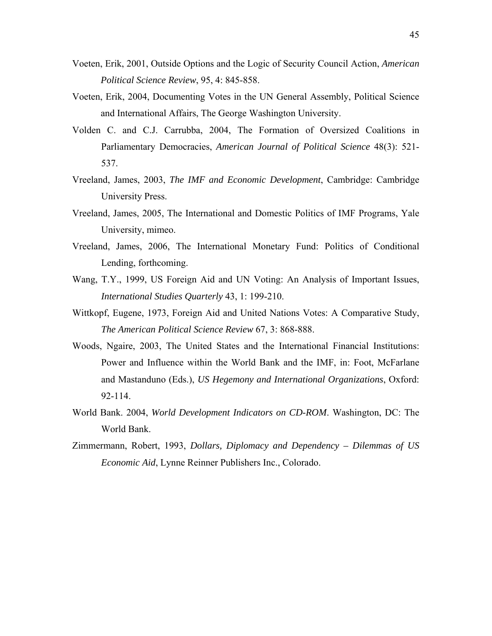- Voeten, Erik, 2001, Outside Options and the Logic of Security Council Action, *American Political Science Review*, 95, 4: 845-858.
- Voeten, Erik, 2004, Documenting Votes in the UN General Assembly, Political Science and International Affairs, The George Washington University.
- Volden C. and C.J. Carrubba, 2004, The Formation of Oversized Coalitions in Parliamentary Democracies, *American Journal of Political Science* 48(3): 521- 537.
- Vreeland, James, 2003, *The IMF and Economic Development*, Cambridge: Cambridge University Press.
- Vreeland, James, 2005, The International and Domestic Politics of IMF Programs, Yale University, mimeo.
- Vreeland, James, 2006, The International Monetary Fund: Politics of Conditional Lending, forthcoming.
- Wang, T.Y., 1999, US Foreign Aid and UN Voting: An Analysis of Important Issues, *International Studies Quarterly* 43, 1: 199-210.
- Wittkopf, Eugene, 1973, Foreign Aid and United Nations Votes: A Comparative Study, *The American Political Science Review* 67, 3: 868-888.
- Woods, Ngaire, 2003, The United States and the International Financial Institutions: Power and Influence within the World Bank and the IMF, in: Foot, McFarlane and Mastanduno (Eds.), *US Hegemony and International Organizations*, Oxford: 92-114.
- World Bank. 2004, *World Development Indicators on CD-ROM*. Washington, DC: The World Bank.
- Zimmermann, Robert, 1993, *Dollars, Diplomacy and Dependency Dilemmas of US Economic Aid*, Lynne Reinner Publishers Inc., Colorado.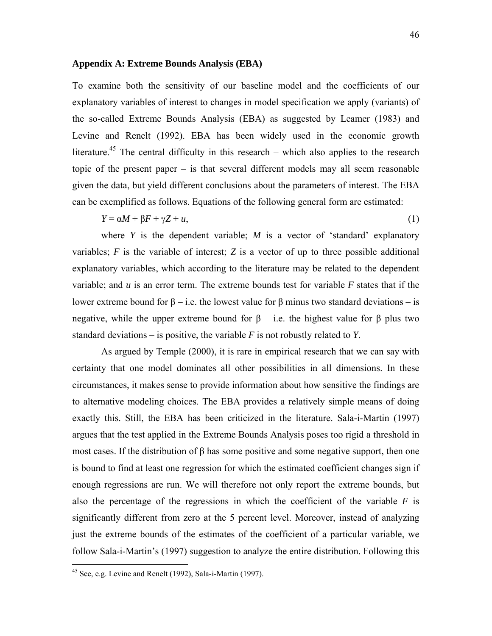### **Appendix A: Extreme Bounds Analysis (EBA)**

To examine both the sensitivity of our baseline model and the coefficients of our explanatory variables of interest to changes in model specification we apply (variants) of the so-called Extreme Bounds Analysis (EBA) as suggested by Leamer (1983) and Levine and Renelt (1992). EBA has been widely used in the economic growth literature.<sup>45</sup> The central difficulty in this research – which also applies to the research topic of the present paper – is that several different models may all seem reasonable given the data, but yield different conclusions about the parameters of interest. The EBA can be exemplified as follows. Equations of the following general form are estimated:

$$
Y = \alpha M + \beta F + \gamma Z + u,\tag{1}
$$

where *Y* is the dependent variable; *M* is a vector of 'standard' explanatory variables; *F* is the variable of interest; *Z* is a vector of up to three possible additional explanatory variables, which according to the literature may be related to the dependent variable; and *u* is an error term. The extreme bounds test for variable *F* states that if the lower extreme bound for  $β$  – i.e. the lowest value for  $β$  minus two standard deviations – is negative, while the upper extreme bound for  $\beta$  – i.e. the highest value for  $\beta$  plus two standard deviations – is positive, the variable *F* is not robustly related to *Y*.

As argued by Temple (2000), it is rare in empirical research that we can say with certainty that one model dominates all other possibilities in all dimensions. In these circumstances, it makes sense to provide information about how sensitive the findings are to alternative modeling choices. The EBA provides a relatively simple means of doing exactly this. Still, the EBA has been criticized in the literature. Sala-i-Martin (1997) argues that the test applied in the Extreme Bounds Analysis poses too rigid a threshold in most cases. If the distribution of β has some positive and some negative support, then one is bound to find at least one regression for which the estimated coefficient changes sign if enough regressions are run. We will therefore not only report the extreme bounds, but also the percentage of the regressions in which the coefficient of the variable *F* is significantly different from zero at the 5 percent level. Moreover, instead of analyzing just the extreme bounds of the estimates of the coefficient of a particular variable, we follow Sala-i-Martin's (1997) suggestion to analyze the entire distribution. Following this

 $45$  See, e.g. Levine and Renelt (1992), Sala-i-Martin (1997).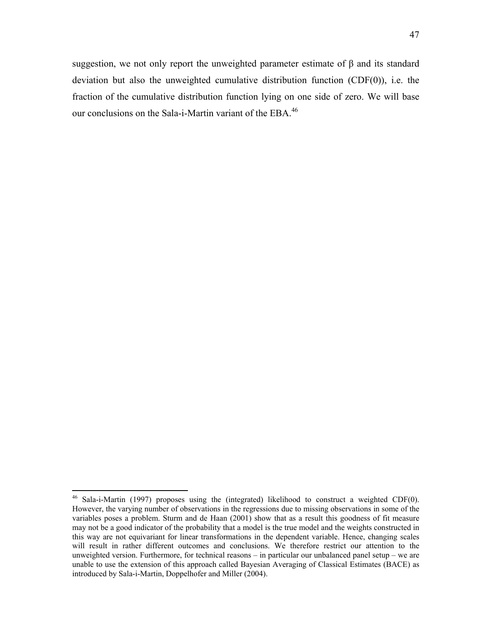suggestion, we not only report the unweighted parameter estimate of  $\beta$  and its standard deviation but also the unweighted cumulative distribution function (CDF(0)), i.e. the fraction of the cumulative distribution function lying on one side of zero. We will base our conclusions on the Sala-i-Martin variant of the EBA.<sup>46</sup>

<sup>&</sup>lt;sup>46</sup> Sala-i-Martin (1997) proposes using the (integrated) likelihood to construct a weighted CDF(0). However, the varying number of observations in the regressions due to missing observations in some of the variables poses a problem. Sturm and de Haan (2001) show that as a result this goodness of fit measure may not be a good indicator of the probability that a model is the true model and the weights constructed in this way are not equivariant for linear transformations in the dependent variable. Hence, changing scales will result in rather different outcomes and conclusions. We therefore restrict our attention to the unweighted version. Furthermore, for technical reasons – in particular our unbalanced panel setup – we are unable to use the extension of this approach called Bayesian Averaging of Classical Estimates (BACE) as introduced by Sala-i-Martin, Doppelhofer and Miller (2004).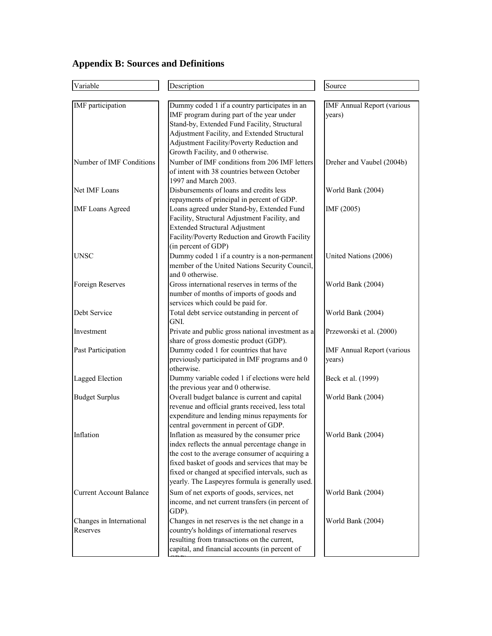# **Appendix B: Sources and Definitions**

| Variable                       | Description                                                                               | Source                            |
|--------------------------------|-------------------------------------------------------------------------------------------|-----------------------------------|
|                                |                                                                                           |                                   |
| IMF participation              | Dummy coded 1 if a country participates in an                                             | <b>IMF Annual Report (various</b> |
|                                | IMF program during part of the year under<br>Stand-by, Extended Fund Facility, Structural | years)                            |
|                                | Adjustment Facility, and Extended Structural                                              |                                   |
|                                | Adjustment Facility/Poverty Reduction and                                                 |                                   |
|                                | Growth Facility, and 0 otherwise.                                                         |                                   |
| Number of IMF Conditions       | Number of IMF conditions from 206 IMF letters                                             | Dreher and Vaubel (2004b)         |
|                                | of intent with 38 countries between October                                               |                                   |
|                                | 1997 and March 2003.                                                                      |                                   |
| Net IMF Loans                  | Disbursements of loans and credits less                                                   | World Bank (2004)                 |
|                                | repayments of principal in percent of GDP.                                                |                                   |
| <b>IMF</b> Loans Agreed        | Loans agreed under Stand-by, Extended Fund                                                | IMF (2005)                        |
|                                | Facility, Structural Adjustment Facility, and                                             |                                   |
|                                | <b>Extended Structural Adjustment</b>                                                     |                                   |
|                                | Facility/Poverty Reduction and Growth Facility                                            |                                   |
|                                | (in percent of GDP)                                                                       |                                   |
| UNSC                           | Dummy coded 1 if a country is a non-permanent                                             | United Nations (2006)             |
|                                | member of the United Nations Security Council,                                            |                                   |
|                                | and 0 otherwise.                                                                          |                                   |
| Foreign Reserves               | Gross international reserves in terms of the                                              | World Bank (2004)                 |
|                                | number of months of imports of goods and                                                  |                                   |
|                                | services which could be paid for.                                                         |                                   |
| Debt Service                   | Total debt service outstanding in percent of                                              | World Bank (2004)                 |
|                                | GNI.                                                                                      |                                   |
| Investment                     | Private and public gross national investment as a                                         | Przeworski et al. (2000)          |
|                                | share of gross domestic product (GDP).                                                    |                                   |
| Past Participation             | Dummy coded 1 for countries that have                                                     | <b>IMF Annual Report (various</b> |
|                                | previously participated in IMF programs and 0                                             | years)                            |
|                                | otherwise.                                                                                |                                   |
| <b>Lagged Election</b>         | Dummy variable coded 1 if elections were held                                             | Beck et al. (1999)                |
|                                | the previous year and 0 otherwise.<br>Overall budget balance is current and capital       |                                   |
| <b>Budget Surplus</b>          | revenue and official grants received, less total                                          | World Bank (2004)                 |
|                                | expenditure and lending minus repayments for                                              |                                   |
|                                | central government in percent of GDP.                                                     |                                   |
| Inflation                      | Inflation as measured by the consumer price                                               | World Bank (2004)                 |
|                                | index reflects the annual percentage change in                                            |                                   |
|                                | the cost to the average consumer of acquiring a                                           |                                   |
|                                | fixed basket of goods and services that may be                                            |                                   |
|                                | fixed or changed at specified intervals, such as                                          |                                   |
|                                | yearly. The Laspeyres formula is generally used.                                          |                                   |
| <b>Current Account Balance</b> | Sum of net exports of goods, services, net                                                | World Bank (2004)                 |
|                                | income, and net current transfers (in percent of                                          |                                   |
|                                | GDP).                                                                                     |                                   |
| Changes in International       | Changes in net reserves is the net change in a                                            | World Bank (2004)                 |
| Reserves                       | country's holdings of international reserves                                              |                                   |
|                                | resulting from transactions on the current,                                               |                                   |
|                                | capital, and financial accounts (in percent of                                            |                                   |
|                                |                                                                                           |                                   |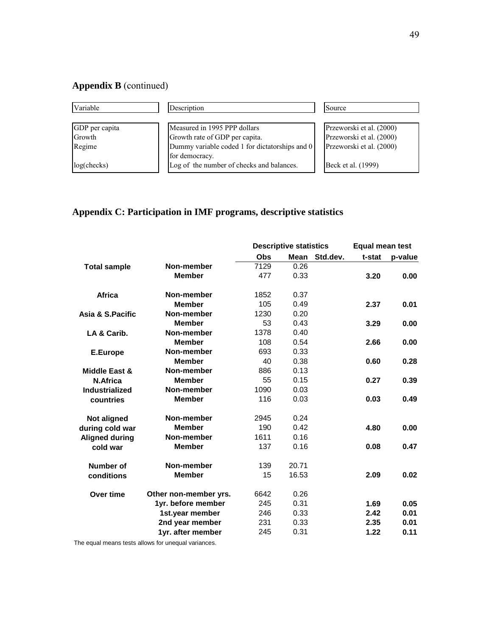## **Appendix B** (continued)

| <b>Variable</b>   | Description                                    | Source                   |
|-------------------|------------------------------------------------|--------------------------|
|                   |                                                |                          |
| GDP per capita    | Measured in 1995 PPP dollars                   | Przeworski et al. (2000) |
| Growth            | Growth rate of GDP per capita.                 | Przeworski et al. (2000) |
| Regime            | Dummy variable coded 1 for dictatorships and 0 | Przeworski et al. (2000) |
|                   | for democracy.                                 |                          |
| $log($ checks $)$ | Log of the number of checks and balances.      | Beck et al. (1999)       |

## **Appendix C: Participation in IMF programs, descriptive statistics**

|                       |                       | <b>Descriptive statistics</b> |       |          | Equal mean test |         |  |
|-----------------------|-----------------------|-------------------------------|-------|----------|-----------------|---------|--|
|                       |                       | Obs                           | Mean  | Std.dev. | t-stat          | p-value |  |
| <b>Total sample</b>   | Non-member            | 7129                          | 0.26  |          |                 |         |  |
|                       | <b>Member</b>         | 477                           | 0.33  |          | 3.20            | 0.00    |  |
| Africa                | Non-member            | 1852                          | 0.37  |          |                 |         |  |
|                       | <b>Member</b>         | 105                           | 0.49  |          | 2.37            | 0.01    |  |
| Asia & S.Pacific      | Non-member            | 1230                          | 0.20  |          |                 |         |  |
|                       | <b>Member</b>         | 53                            | 0.43  |          | 3.29            | 0.00    |  |
| LA & Carib.           | Non-member            | 1378                          | 0.40  |          |                 |         |  |
|                       | <b>Member</b>         | 108                           | 0.54  |          | 2.66            | 0.00    |  |
| E.Europe              | Non-member            | 693                           | 0.33  |          |                 |         |  |
|                       | <b>Member</b>         | 40                            | 0.38  |          | 0.60            | 0.28    |  |
| Middle East &         | Non-member            | 886                           | 0.13  |          |                 |         |  |
| N.Africa              | <b>Member</b>         | 55                            | 0.15  |          | 0.27            | 0.39    |  |
| Industrialized        | Non-member            | 1090                          | 0.03  |          |                 |         |  |
| countries             | <b>Member</b>         | 116                           | 0.03  |          | 0.03            | 0.49    |  |
| <b>Not aligned</b>    | Non-member            | 2945                          | 0.24  |          |                 |         |  |
| during cold war       | <b>Member</b>         | 190                           | 0.42  |          | 4.80            | 0.00    |  |
| <b>Aligned during</b> | Non-member            | 1611                          | 0.16  |          |                 |         |  |
| cold war              | <b>Member</b>         | 137                           | 0.16  |          | 0.08            | 0.47    |  |
| Number of             | Non-member            | 139                           | 20.71 |          |                 |         |  |
| conditions            | <b>Member</b>         | 15                            | 16.53 |          | 2.09            | 0.02    |  |
| Over time             | Other non-member yrs. | 6642                          | 0.26  |          |                 |         |  |
|                       | 1yr. before member    | 245                           | 0.31  |          | 1.69            | 0.05    |  |
|                       | 1st.year member       | 246                           | 0.33  |          | 2.42            | 0.01    |  |
|                       | 2nd year member       | 231                           | 0.33  |          | 2.35            | 0.01    |  |
|                       | 1yr. after member     | 245                           | 0.31  |          | 1.22            | 0.11    |  |
|                       |                       |                               |       |          |                 |         |  |

The equal means tests allows for unequal variances.